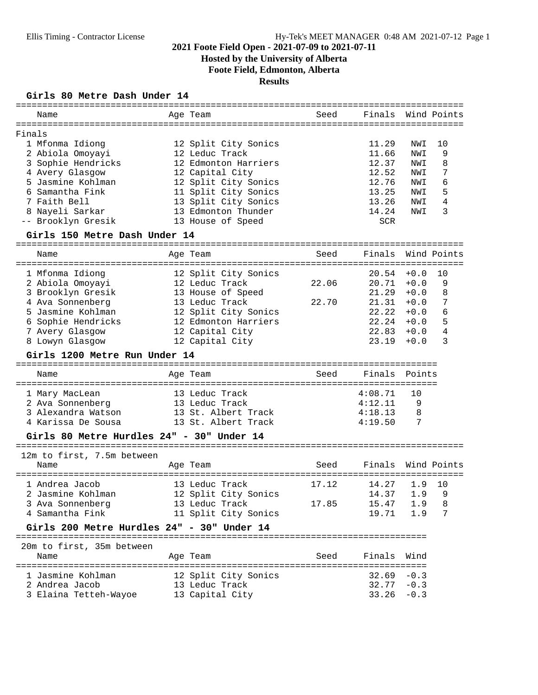# **Hosted by the University of Alberta**

**Foote Field, Edmonton, Alberta**

# **Results**

### **Girls 80 Metre Dash Under 14**

| Name                                       | Age Team             | Seed  | Finals Wind Points |        |                  |
|--------------------------------------------|----------------------|-------|--------------------|--------|------------------|
| Finals                                     |                      |       |                    |        |                  |
| 1 Mfonma Idiong                            | 12 Split City Sonics |       | 11.29              | NWI    | 10               |
| 2 Abiola Omoyayi                           | 12 Leduc Track       |       | 11.66              | NWI    | 9                |
| 3 Sophie Hendricks                         | 12 Edmonton Harriers |       | 12.37              | NWI    | 8                |
| 4 Avery Glasgow                            | 12 Capital City      |       | 12.52              | NWI    | 7                |
| 5 Jasmine Kohlman                          | 12 Split City Sonics |       | 12.76              | NWI    | 6                |
| 6 Samantha Fink                            | 11 Split City Sonics |       | 13.25              | NWI    | 5                |
| 7 Faith Bell                               | 13 Split City Sonics |       | 13.26              | NWI    | 4                |
| 8 Nayeli Sarkar                            | 13 Edmonton Thunder  |       | 14.24              | NWI    | 3                |
| -- Brooklyn Gresik                         | 13 House of Speed    |       | <b>SCR</b>         |        |                  |
| Girls 150 Metre Dash Under 14              |                      |       |                    |        |                  |
|                                            |                      |       |                    |        |                  |
| Name                                       | Age Team             | Seed  | Finals             |        | Wind Points      |
| 1 Mfonma Idiong                            | 12 Split City Sonics |       | $20.54 + 0.0$      |        | 10               |
| 2 Abiola Omoyayi                           | 12 Leduc Track       | 22.06 | 20.71              | $+0.0$ | 9                |
| 3 Brooklyn Gresik                          | 13 House of Speed    |       | 21.29              | $+0.0$ | 8                |
| 4 Ava Sonnenberg                           | 13 Leduc Track       | 22.70 | 21.31              | $+0.0$ | 7                |
| 5 Jasmine Kohlman                          | 12 Split City Sonics |       | 22.22              | $+0.0$ | 6                |
| 6 Sophie Hendricks                         | 12 Edmonton Harriers |       | $22.24 + 0.0$      |        | 5                |
| 7 Avery Glasgow                            | 12 Capital City      |       | $22.83 + 0.0$      |        | 4                |
| 8 Lowyn Glasgow                            | 12 Capital City      |       | 23.19              | $+0.0$ | 3                |
| Girls 1200 Metre Run Under 14              |                      |       |                    |        |                  |
| Name                                       | Age Team             | Seed  | Finals             | Points |                  |
| 1 Mary MacLean                             | 13 Leduc Track       |       | 4:08.71            | 10     |                  |
| 2 Ava Sonnenberg                           | 13 Leduc Track       |       | 4:12.11            | 9      |                  |
| 3 Alexandra Watson                         | 13 St. Albert Track  |       | 4:18.13            | 8      |                  |
| 4 Karissa De Sousa                         | 13 St. Albert Track  |       | 4:19.50            | 7      |                  |
| Girls 80 Metre Hurdles 24" - 30" Under 14  |                      |       |                    |        |                  |
|                                            |                      |       |                    |        |                  |
| 12m to first, 7.5m between<br>Name         | Age Team             | Seed  | Finals             |        | Wind Points      |
|                                            |                      |       |                    |        | ================ |
| 1 Andrea Jacob                             | 13 Leduc Track       | 17.12 | 14.27              | 1.9    | 10               |
| 2 Jasmine Kohlman 12 Split City Sonics     |                      |       | 14.37 1.9 9        |        |                  |
| 3 Ava Sonnenberg                           | 13 Leduc Track       | 17.85 | 15.47              | 1.9    | 8                |
| 4 Samantha Fink                            | 11 Split City Sonics |       | 19.71              | 1.9    | 7                |
| Girls 200 Metre Hurdles 24" - 30" Under 14 |                      |       |                    |        |                  |
| 20m to first, 35m between                  |                      |       |                    |        |                  |
| Name                                       | Age Team             | Seed  | Finals             | Wind   |                  |
|                                            |                      |       |                    |        |                  |
| 1 Jasmine Kohlman                          | 12 Split City Sonics |       | $32.69 - 0.3$      |        |                  |
| 2 Andrea Jacob                             | 13 Leduc Track       |       | $32.77 - 0.3$      |        |                  |
| 3 Elaina Tetteh-Wayoe                      | 13 Capital City      |       | $33.26 - 0.3$      |        |                  |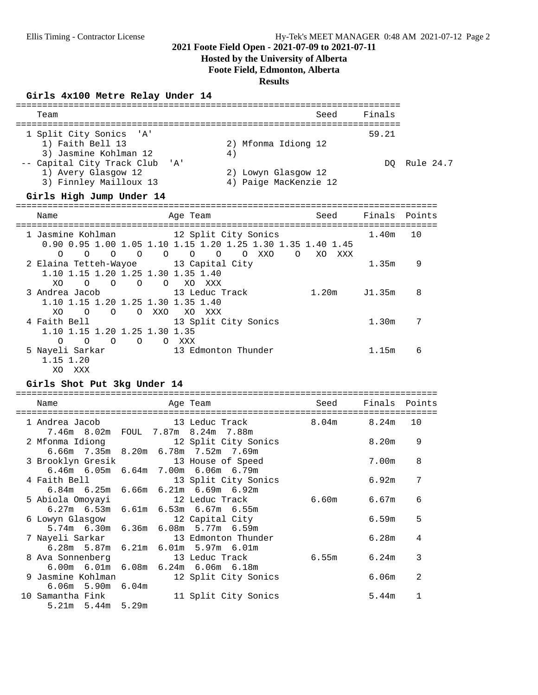### **Hosted by the University of Alberta**

**Foote Field, Edmonton, Alberta**

### **Results**

### **Girls 4x100 Metre Relay Under 14**

| Team                                                                                                                                                    |         |                                |                                                                     | Seed   | Finals        |              |
|---------------------------------------------------------------------------------------------------------------------------------------------------------|---------|--------------------------------|---------------------------------------------------------------------|--------|---------------|--------------|
| 1 Split City Sonics 'A'<br>1) Faith Bell 13<br>3) Jasmine Kohlman 12<br>-- Capital City Track Club 'A'<br>1) Avery Glasgow 12<br>3) Finnley Mailloux 13 |         | 4)                             | 2) Mfonma Idiong 12<br>2) Lowyn Glasgow 12<br>4) Paige MacKenzie 12 |        | 59.21         | DQ Rule 24.7 |
| Girls High Jump Under 14                                                                                                                                |         |                                |                                                                     |        |               |              |
| Name                                                                                                                                                    |         | Age Team                       |                                                                     | Seed   | Finals Points |              |
| 1 Jasmine Kohlman                 12 Split City Sonics<br>0.90 0.95 1.00 1.05 1.10 1.15 1.20 1.25 1.30 1.35 1.40 1.45                                   |         | -------------------------      | =====================================                               |        | 1.40m         | 10           |
| $\Omega$<br>2 Elaina Tetteh-Wayoe 13 Capital City<br>1.10 1.15 1.20 1.25 1.30 1.35 1.40<br>XO.                                                          |         | O XO XXX                       | $\circ$                                                             | XO XXX | 1.35m         | 9            |
| 3 Andrea Jacob                                                                                                                                          |         | 13 Leduc Track                 |                                                                     | 1.20m  | J1.35m        | 8            |
| 1.10 1.15 1.20 1.25 1.30 1.35 1.40<br>$\overline{O}$<br>XO.<br>$\Omega$<br>4 Faith Bell<br>1.10 1.15 1.20 1.25 1.30 1.35                                | O XXO   | XO XXX<br>13 Split City Sonics |                                                                     |        | 1.30m         | 7            |
| $\overline{O}$<br>$\overline{O}$<br>$\Omega$<br>5 Nayeli Sarkar<br>1.15 1.20<br>XO<br>XXX                                                               | $\circ$ | O XXX<br>13 Edmonton Thunder   |                                                                     |        | 1.15m         | 6            |

### **Girls Shot Put 3kg Under 14**

|  | Name                                      | Age Team |                                                                                                                 | <b>Seed</b> | Finals Points |                |
|--|-------------------------------------------|----------|-----------------------------------------------------------------------------------------------------------------|-------------|---------------|----------------|
|  |                                           |          | 1 Andrea Jacob 13 Leduc Track 8.04m 8.24m                                                                       |             |               | 10             |
|  | 7.46m 8.02m FOUL 7.87m 8.24m 7.88m        |          | 2 Mfonma Idiong 12 Split City Sonics                                                                            |             | 8.20m         | 9              |
|  | 3 Brooklyn Gresik 13 House of Speed       |          | 6.66m 7.35m 8.20m 6.78m 7.52m 7.69m                                                                             |             | 7.00m         | 8              |
|  |                                           |          | 6.46m 6.05m 6.64m 7.00m 6.06m 6.79m<br>4 Faith Bell 13 Split City Sonics                                        |             | 6.92m         | 7              |
|  |                                           |          | $6.84m$ 6.25m 6.66m 6.21m 6.69m 6.92m                                                                           | 6.60m 6.67m |               | 6              |
|  | 6 Lowyn Glasgow 12 Capital City           |          | $6.27m$ 6.53m 6.61m 6.53m 6.67m 6.55m                                                                           |             | 6.59m         | 5              |
|  |                                           |          | 5.74m 6.30m 6.36m 6.08m 5.77m 6.59m<br>7 Nayeli Sarkar 13 Edmonton Thunder                                      |             | 6.28m         | 4              |
|  |                                           |          | $6.28m$ 5.87m $6.21m$ 6.01m 5.97m $6.01m$<br>8 Ava Sonnenberg 13 Leduc Track                                    | 6.55m       | 6.24m         | 3              |
|  |                                           |          | $6.00$ m $6.01$ m $6.08$ m $6.24$ m $6.06$ m $6.18$ m<br>9 Jasmine Kohlman                 12 Split City Sonics |             | 6.06m         | $\overline{2}$ |
|  | $6.06m$ 5.90m $6.04m$<br>10 Samantha Fink |          | 11 Split City Sonics                                                                                            |             | 5.44m         | 1              |
|  | $5.21m$ $5.44m$ $5.29m$                   |          |                                                                                                                 |             |               |                |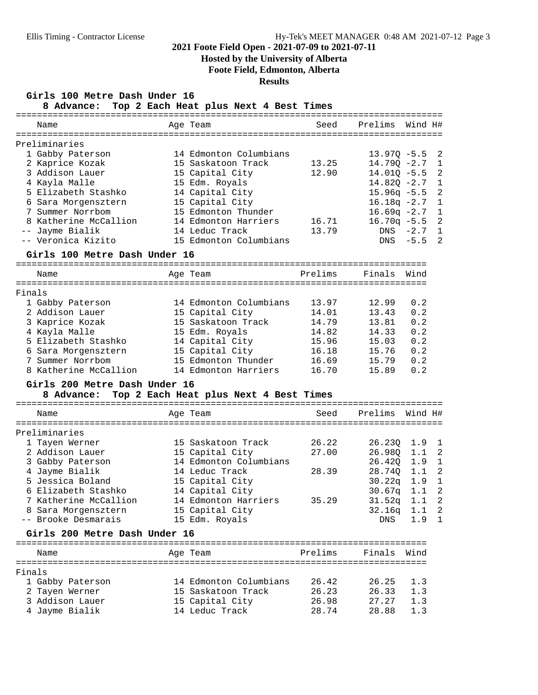# **Hosted by the University of Alberta**

**Foote Field, Edmonton, Alberta**

### **Results**

**Girls 100 Metre Dash Under 16**

**8 Advance: Top 2 Each Heat plus Next 4 Best Times**

| Name          |                                             | Age Team                               | Seed    | Prelims Wind H# |             |                            |
|---------------|---------------------------------------------|----------------------------------------|---------|-----------------|-------------|----------------------------|
| Preliminaries |                                             |                                        |         |                 |             |                            |
|               | 1 Gabby Paterson                            | 14 Edmonton Columbians                 |         | $13.97Q - 5.5$  |             | 2                          |
|               | 2 Kaprice Kozak                             | 15 Saskatoon Track                     | 13.25   | $14.79Q - 2.7$  |             | $\mathbf{1}$               |
|               | 3 Addison Lauer                             | 15 Capital City                        | 12.90   | $14.01Q - 5.5$  |             | $\overline{a}$             |
|               | 4 Kayla Malle                               | 15 Edm. Royals                         |         | $14.82Q - 2.7$  |             | $\mathbf{1}$               |
|               | 5 Elizabeth Stashko                         | 14 Capital City                        |         | $15.96q - 5.5$  |             | $\overline{a}$             |
|               | 6 Sara Morgensztern                         | 15 Capital City                        |         | $16.18q -2.7$   |             | $\mathbf{1}$               |
|               | 7 Summer Norrbom                            | 15 Edmonton Thunder                    |         | $16.69q -2.7$   |             | $\mathbf{1}$               |
|               | 8 Katherine McCallion                       | 14 Edmonton Harriers                   | 16.71   | $16.70q - 5.5$  |             | $\overline{a}$             |
|               | -- Jayme Bialik                             | 14 Leduc Track                         | 13.79   |                 | $DNS -2.7$  | $\mathbf{1}$               |
|               | -- Veronica Kizito                          | 15 Edmonton Columbians                 |         |                 | $DNS - 5.5$ | 2                          |
|               | Girls 100 Metre Dash Under 16               |                                        |         |                 |             |                            |
| Name          |                                             | Age Team                               | Prelims | Finals          | Wind        |                            |
|               |                                             |                                        |         |                 |             |                            |
| Finals        |                                             |                                        |         |                 |             |                            |
|               | 1 Gabby Paterson                            | 14 Edmonton Columbians                 | 13.97   | 12.99           | 0.2         |                            |
|               | 2 Addison Lauer                             | 15 Capital City                        | 14.01   | 13.43           | 0.2         |                            |
|               | 3 Kaprice Kozak                             | 15 Saskatoon Track                     | 14.79   | 13.81           | 0.2         |                            |
|               | 4 Kayla Malle                               | 15 Edm. Royals                         | 14.82   | 14.33           | 0.2         |                            |
|               | 5 Elizabeth Stashko                         | 14 Capital City                        | 15.96   | 15.03           | 0.2         |                            |
|               | 6 Sara Morgensztern                         | 15 Capital City                        | 16.18   | 15.76           | 0.2         |                            |
|               | 7 Summer Norrbom                            | 15 Edmonton Thunder                    | 16.69   | 15.79           | 0.2         |                            |
|               | 8 Katherine McCallion                       | 14 Edmonton Harriers                   | 16.70   | 15.89           | 0.2         |                            |
|               | Girls 200 Metre Dash Under 16<br>8 Advance: | Top 2 Each Heat plus Next 4 Best Times |         |                 |             |                            |
|               |                                             |                                        |         |                 |             |                            |
| Name          |                                             | Age Team                               | Seed    | Prelims         | Wind H#     |                            |
| Preliminaries |                                             |                                        |         |                 |             |                            |
|               | 1 Tayen Werner                              | 15 Saskatoon Track                     | 26.22   | 26.230 1.9 1    |             |                            |
|               | 2 Addison Lauer                             | 15 Capital City                        | 27.00   | 26.98Q 1.1 2    |             |                            |
|               | 3 Gabby Paterson                            | 14 Edmonton Columbians                 |         | 26.42Q 1.9 1    |             |                            |
|               | 4 Jayme Bialik                              | 14 Leduc Track                         | 28.39   | 28.740 1.1 2    |             |                            |
|               | 5 Jessica Boland                            | 15 Capital City                        |         | $30.22q$ 1.9    |             | $\mathbf{1}$               |
|               | 6 Elizabeth Stashko                         | 14 Capital City                        |         | $30.67q$ 1.1    |             | $\overline{a}$             |
|               | 7 Katherine McCallion                       | 14 Edmonton Harriers                   | 35.29   | $31.52q$ $1.1$  |             | $\overline{2}$             |
|               | 8 Sara Morgensztern                         | 15 Capital City                        |         | 32.16q 1.1      |             | $\overline{\phantom{0}}^2$ |
|               | -- Brooke Desmarais                         | 15 Edm. Royals                         |         | DNS             | 1.9         | 1                          |
|               | Girls 200 Metre Dash Under 16               |                                        |         |                 |             |                            |
|               |                                             |                                        |         |                 |             |                            |
| Name          |                                             | Age Team                               | Prelims | Finals          | Wind        |                            |
| Finals        |                                             |                                        |         |                 |             |                            |
|               | 1 Gabby Paterson                            | 14 Edmonton Columbians                 | 26.42   | 26.25           | 1.3         |                            |
|               | 2 Tayen Werner                              | 15 Saskatoon Track                     | 26.23   | 26.33           | 1.3         |                            |
|               | 3 Addison Lauer                             | 15 Capital City                        | 26.98   | 27.27           | 1.3         |                            |
|               | 4 Jayme Bialik                              | 14 Leduc Track                         | 28.74   | 28.88           | 1.3         |                            |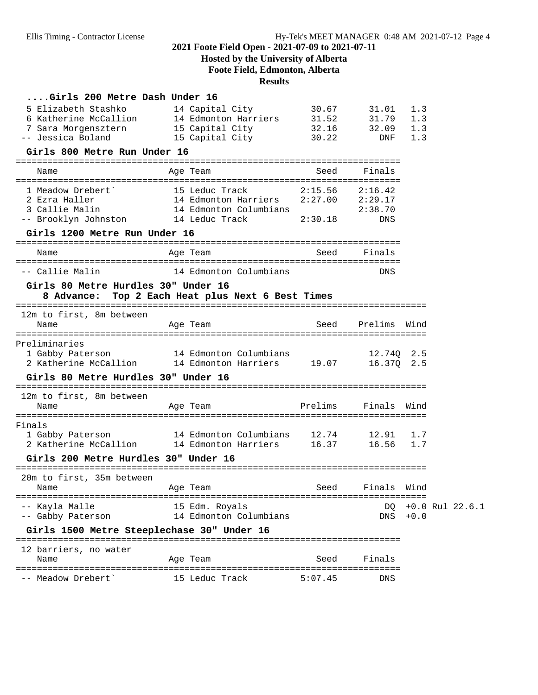# **Hosted by the University of Alberta Foote Field, Edmonton, Alberta**

# **Results**

| Girls 200 Metre Dash Under 16                                                                                            |                        |                |                     |             |                     |
|--------------------------------------------------------------------------------------------------------------------------|------------------------|----------------|---------------------|-------------|---------------------|
| 5 Elizabeth Stashko                                                                                                      | 14 Capital City        | 30.67<br>31.52 | 31.01<br>31.79      | 1.3         |                     |
|                                                                                                                          |                        |                | 32.16 32.09         | 1.3<br>1.3  |                     |
| o Katnerine McCallion<br>7 Sara Morgensztern 15 Capital City<br>- Jessica Boland<br>15 Capital City<br>-- Jessica Boland | 15 Capital City        | 30.22          | DNF                 | 1.3         |                     |
| Girls 800 Metre Run Under 16                                                                                             |                        |                |                     |             |                     |
| Name                                                                                                                     | Age Team               | Seed           | Finals              |             |                     |
| 1 Meadow Drebert`                                                                                                        |                        |                |                     |             |                     |
| 2 Ezra Haller                                                                                                            | 14 Edmonton Harriers   |                | $2:27.00$ $2:29.17$ |             |                     |
| 3 Callie Malin 14 Edmonton Columbians<br>-- Brooklyn Johnston 14 Leduc Track 2:30.18                                     |                        |                | 2:38.70             |             |                     |
|                                                                                                                          |                        |                | DNS                 |             |                     |
| Girls 1200 Metre Run Under 16                                                                                            |                        |                |                     |             |                     |
| Name                                                                                                                     | Age Team               | Seed           | Finals              |             |                     |
| -- Callie Malin                                                                                                          | 14 Edmonton Columbians |                | DNS                 |             |                     |
| Girls 80 Metre Hurdles 30" Under 16                                                                                      |                        |                |                     |             |                     |
| 8 Advance: Top 2 Each Heat plus Next 6 Best Times                                                                        |                        |                |                     |             |                     |
| 12m to first, 8m between                                                                                                 |                        |                |                     |             |                     |
| Name                                                                                                                     | Age Team               | Seed           | Prelims Wind        |             |                     |
| Preliminaries                                                                                                            |                        |                |                     |             |                     |
| 1 Gabby Paterson 14 Edmonton Columbians                                                                                  |                        |                | 12.740 2.5          |             |                     |
| 2 Katherine McCallion 14 Edmonton Harriers 19.07                                                                         |                        |                | 16.370 2.5          |             |                     |
| Girls 80 Metre Hurdles 30" Under 16                                                                                      |                        |                |                     |             |                     |
| 12m to first, 8m between                                                                                                 |                        |                |                     |             |                     |
| Name                                                                                                                     | Age Team               | Prelims        | Finals              | Wind        |                     |
| Finals                                                                                                                   |                        |                |                     |             |                     |
| 1 Gabby Paterson 14 Edmonton Columbians 12.74 12.91                                                                      |                        |                |                     | 1.7         |                     |
| 2 Katherine McCallion 14 Edmonton Harriers 16.37                                                                         |                        |                | 16.56               | 1.7         |                     |
| Girls 200 Metre Hurdles 30" Under 16                                                                                     |                        |                |                     |             |                     |
| 20m to first, 35m between                                                                                                |                        |                |                     |             |                     |
| Age Team<br>Name                                                                                                         |                        | <b>Seed</b>    | Finals Wind         |             |                     |
| -- Kayla Malle                                                                                                           | 15 Edm. Royals         |                | DO.                 |             | $+0.0$ Rul $22.6.1$ |
| -- Gabby Paterson                                                                                                        | 14 Edmonton Columbians |                |                     | $DNS + 0.0$ |                     |
| Girls 1500 Metre Steeplechase 30" Under 16                                                                               |                        |                |                     |             |                     |
| 12 barriers, no water                                                                                                    |                        |                |                     |             |                     |
| Name                                                                                                                     | Age Team               | Seed           | Finals              |             |                     |
| -- Meadow Drebert'                                                                                                       | 15 Leduc Track         | 5:07.45        | DNS                 |             |                     |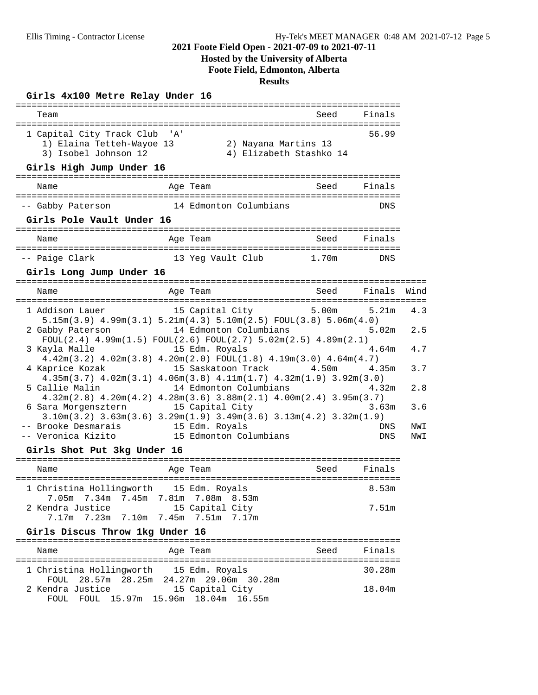# **Hosted by the University of Alberta**

**Foote Field, Edmonton, Alberta**

**Results**

### **Girls 4x100 Metre Relay Under 16**

| Team                                                                                                           |                                                 | Seed        | Finals     |            |
|----------------------------------------------------------------------------------------------------------------|-------------------------------------------------|-------------|------------|------------|
| 1 Capital City Track Club 'A'<br>1) Elaina Tetteh-Wayoe 13<br>3) Isobel Johnson 12<br>Girls High Jump Under 16 | 2) Nayana Martins 13<br>4) Elizabeth Stashko 14 |             | 56.99      |            |
| Name                                                                                                           | Age Team                                        | Seed Finals |            |            |
|                                                                                                                |                                                 |             |            |            |
| -- Gabby Paterson 14 Edmonton Columbians                                                                       |                                                 |             | DNS        |            |
| Girls Pole Vault Under 16                                                                                      |                                                 |             |            |            |
| Name                                                                                                           | Aqe Team                                        | Seed Finals |            |            |
| -- Paige Clark                                                                                                 | 13 Yeg Vault Club 1.70m                         |             | DNS        |            |
| Girls Long Jump Under 16                                                                                       |                                                 |             |            |            |
| Name<br>Age Team                                                                                               |                                                 | Seed Finals |            | Wind       |
|                                                                                                                |                                                 |             |            |            |
| 1 Addison Lauer<br>$5.15m(3.9)$ $4.99m(3.1)$ $5.21m(4.3)$ $5.10m(2.5)$ $FOUT(3.8)$ $5.06m(4.0)$                | 15 Capital City 5.00m                           |             | 5.21m      | 4.3        |
| 2 Gabby Paterson 14 Edmonton Columbians 5.02m                                                                  |                                                 |             |            | 2.5        |
| $FOUT(2.4) 4.99m(1.5) FOUT(2.6) FOUT(2.7) 5.02m(2.5) 4.89m(2.1)$<br>3 Kayla Malle 15 Edm. Royals               |                                                 |             | 4.64m      | 4.7        |
| $4.42m(3.2)$ $4.02m(3.8)$ $4.20m(2.0)$ $FOUL(1.8)$ $4.19m(3.0)$ $4.64m(4.7)$                                   |                                                 |             |            |            |
| 4 Kaprice Kozak                                                                                                | 15 Saskatoon Track                              | 4.50m       | 4.35m      | 3.7        |
| $4.35m(3.7)$ $4.02m(3.1)$ $4.06m(3.8)$ $4.11m(1.7)$ $4.32m(1.9)$ $3.92m(3.0)$<br>5 Callie Malin                | 14 Edmonton Columbians                          |             | 4.32m      | 2.8        |
| $4.32m(2.8)$ $4.20m(4.2)$ $4.28m(3.6)$ $3.88m(2.1)$ $4.00m(2.4)$ $3.95m(3.7)$                                  |                                                 |             |            |            |
| 6 Sara Morgensztern                                                                                            | 15 Capital City                                 |             | 3.63m      | 3.6        |
| $3.10m(3.2)$ $3.63m(3.6)$ $3.29m(1.9)$ $3.49m(3.6)$ $3.13m(4.2)$ $3.32m(1.9)$                                  |                                                 |             |            |            |
| -- Brooke Desmarais 15 Edm. Royals<br>-- Veronica Kizito 15 Edmonton Columbians                                |                                                 |             | DNS<br>DNS | NWI<br>NWI |
| Girls Shot Put 3kg Under 16                                                                                    |                                                 |             |            |            |
|                                                                                                                |                                                 |             |            |            |
| Name                                                                                                           | Age Team                                        | Seed        | Finals     |            |
| 1 Christina Hollingworth 15 Edm. Royals<br>7.05m 7.34m 7.45m 7.81m 7.08m 8.53m                                 |                                                 |             | 8.53m      |            |
| 2 Kendra Justice                                                                                               | 15 Capital City                                 |             | 7.51m      |            |
| $7.17m$ $7.23m$ $7.10m$                                                                                        | 7.45m 7.51m 7.17m                               |             |            |            |
| Girls Discus Throw 1kg Under 16                                                                                |                                                 |             |            |            |
| Name                                                                                                           | Age Team                                        | Seed        | Finals     |            |
| 1 Christina Hollingworth 15 Edm. Royals                                                                        |                                                 |             | 30.28m     |            |
| 28.57m 28.25m 24.27m 29.06m 30.28m<br>FOUL                                                                     |                                                 |             |            |            |
| 2 Kendra Justice<br>FOUL 15.97m 15.96m<br>FOUL                                                                 | 15 Capital City<br>18.04m<br>16.55m             |             | 18.04m     |            |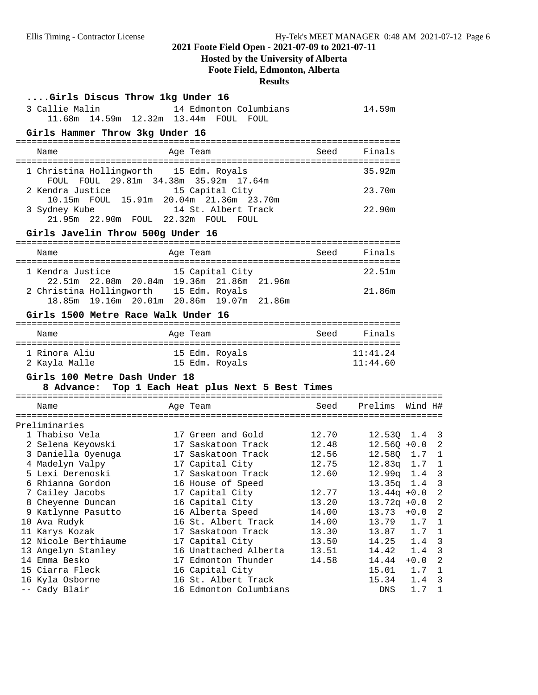# **Hosted by the University of Alberta**

**Foote Field, Edmonton, Alberta**

# **Results**

| Girls Discus Throw 1kg Under 16<br>14 Edmonton Columbians<br>11.68m  14.59m  12.32m  13.44m  FOUL  FOUL |                                                                                                                                                                                             |                                                                                       |                      |                                                                                                                                                                                                                                         |
|---------------------------------------------------------------------------------------------------------|---------------------------------------------------------------------------------------------------------------------------------------------------------------------------------------------|---------------------------------------------------------------------------------------|----------------------|-----------------------------------------------------------------------------------------------------------------------------------------------------------------------------------------------------------------------------------------|
| Girls Hammer Throw 3kg Under 16                                                                         |                                                                                                                                                                                             |                                                                                       |                      |                                                                                                                                                                                                                                         |
| Age Team                                                                                                | Seed                                                                                                                                                                                        | Finals                                                                                |                      |                                                                                                                                                                                                                                         |
| 1 Christina Hollingworth 15 Edm. Royals                                                                 |                                                                                                                                                                                             | 35.92m                                                                                |                      |                                                                                                                                                                                                                                         |
| 2 Kendra Justice 15 Capital City<br>10.15m FOUL 15.91m 20.04m 21.36m 23.70m                             |                                                                                                                                                                                             | 23.70m                                                                                |                      |                                                                                                                                                                                                                                         |
| 14 St. Albert Track<br>21.95m  22.90m  FOUL  22.32m  FOUL  FOUL                                         |                                                                                                                                                                                             | 22.90m                                                                                |                      |                                                                                                                                                                                                                                         |
| Girls Javelin Throw 500g Under 16                                                                       |                                                                                                                                                                                             |                                                                                       |                      |                                                                                                                                                                                                                                         |
| Age Team                                                                                                | Seed                                                                                                                                                                                        | Finals                                                                                |                      |                                                                                                                                                                                                                                         |
| 15 Capital City                                                                                         |                                                                                                                                                                                             | 22.51m                                                                                |                      |                                                                                                                                                                                                                                         |
| 2 Christina Hollingworth 15 Edm. Royals<br>18.85m 19.16m 20.01m 20.86m 19.07m 21.86m                    |                                                                                                                                                                                             | 21.86m                                                                                |                      |                                                                                                                                                                                                                                         |
| Girls 1500 Metre Race Walk Under 16                                                                     |                                                                                                                                                                                             |                                                                                       |                      |                                                                                                                                                                                                                                         |
| Age Team                                                                                                | Seed                                                                                                                                                                                        | Finals                                                                                |                      |                                                                                                                                                                                                                                         |
| 15 Edm. Royals<br>15 Edm. Royals                                                                        |                                                                                                                                                                                             | 11:41.24<br>11:44.60                                                                  |                      |                                                                                                                                                                                                                                         |
| Girls 100 Metre Dash Under 18                                                                           |                                                                                                                                                                                             |                                                                                       |                      |                                                                                                                                                                                                                                         |
| Age Team                                                                                                | Seed                                                                                                                                                                                        |                                                                                       |                      |                                                                                                                                                                                                                                         |
|                                                                                                         |                                                                                                                                                                                             |                                                                                       |                      |                                                                                                                                                                                                                                         |
| 17 Green and Gold<br>17 Saskatoon Track                                                                 | 12.70<br>12.48                                                                                                                                                                              |                                                                                       |                      |                                                                                                                                                                                                                                         |
| 17 Saskatoon Track                                                                                      | 12.56                                                                                                                                                                                       |                                                                                       |                      |                                                                                                                                                                                                                                         |
|                                                                                                         |                                                                                                                                                                                             |                                                                                       |                      |                                                                                                                                                                                                                                         |
|                                                                                                         |                                                                                                                                                                                             |                                                                                       |                      |                                                                                                                                                                                                                                         |
| 17 Capital City                                                                                         | 12.77                                                                                                                                                                                       |                                                                                       | $\overline{2}$       |                                                                                                                                                                                                                                         |
| 16 Capital City                                                                                         | 13.20                                                                                                                                                                                       |                                                                                       | 2                    |                                                                                                                                                                                                                                         |
|                                                                                                         |                                                                                                                                                                                             | 13.73                                                                                 | 2<br>$+0.0$          |                                                                                                                                                                                                                                         |
|                                                                                                         |                                                                                                                                                                                             |                                                                                       | 1                    |                                                                                                                                                                                                                                         |
|                                                                                                         |                                                                                                                                                                                             |                                                                                       |                      |                                                                                                                                                                                                                                         |
|                                                                                                         |                                                                                                                                                                                             |                                                                                       |                      |                                                                                                                                                                                                                                         |
| 17 Capital City                                                                                         | 13.50                                                                                                                                                                                       | 14.25                                                                                 | 3<br>1.4             |                                                                                                                                                                                                                                         |
| 16 Unattached Alberta                                                                                   | 13.51                                                                                                                                                                                       | 14.42                                                                                 | 3<br>1.4             |                                                                                                                                                                                                                                         |
| 17 Edmonton Thunder                                                                                     | 14.58                                                                                                                                                                                       | 14.44                                                                                 | 2<br>$+0.0$          |                                                                                                                                                                                                                                         |
| 16 Capital City<br>16 St. Albert Track                                                                  |                                                                                                                                                                                             | 15.01<br>15.34                                                                        | 1.7<br>1<br>3<br>1.4 |                                                                                                                                                                                                                                         |
|                                                                                                         | FOUL FOUL 29.81m 34.38m 35.92m 17.64m<br>22.51m 22.08m 20.84m 19.36m 21.86m 21.96m<br>17 Capital City<br>17 Saskatoon Track<br>16 House of Speed<br>16 Alberta Speed<br>16 St. Albert Track | 8 Advance: Top 1 Each Heat plus Next 5 Best Times<br>12.75<br>12.60<br>14.00<br>14.00 | 14.59m<br>13.79      | Prelims Wind H#<br>$12.53Q$ $1.4$ 3<br>$12.56Q + 0.0$ 2<br>12.58Q 1.7 1<br>12.83q 1.7 1<br>$1.4 - 3$<br>12.99q<br>13.35q 1.4 3<br>$13.44q + 0.0$<br>$13.72q + 0.0$<br>1.7<br>17 Saskatoon Track<br>13.30<br>13.87<br>1.7<br>$\mathbf 1$ |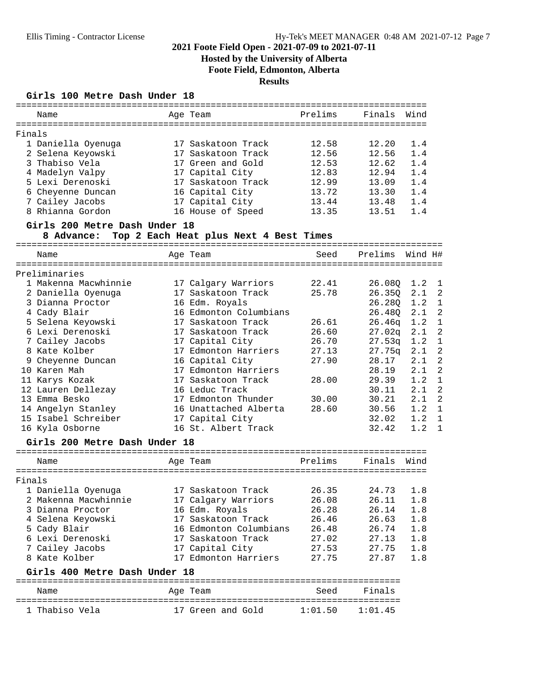# **Hosted by the University of Alberta Foote Field, Edmonton, Alberta**

**Results**

### **Girls 100 Metre Dash Under 18**

|        | Name                             | Age Team                                | Prelims        | Finals         | Wind       |
|--------|----------------------------------|-----------------------------------------|----------------|----------------|------------|
| Finals |                                  |                                         |                |                |            |
|        | 1 Daniella Oyenuga               | 17 Saskatoon Track                      | 12.58          | 12.20          | 1.4        |
|        | 2 Selena Keyowski                | 17 Saskatoon Track                      | 12.56          | 12.56          | 1.4        |
|        | 3 Thabiso Vela                   | 17 Green and Gold                       | 12.53          | 12.62          | 1.4        |
|        | 4 Madelyn Valpy                  | 17 Capital City                         | 12.83          | 12.94          | 1.4        |
|        | 5 Lexi Derenoski                 | 17 Saskatoon Track                      | 12.99          | 13.09          | 1.4        |
|        | 6 Cheyenne Duncan                | 16 Capital City                         | 13.72          | 13.30          | 1.4        |
|        | 7 Cailey Jacobs                  | 17 Capital City                         | 13.44          | 13.48          | 1.4        |
|        | 8 Rhianna Gordon                 | 16 House of Speed                       | 13.35          | 13.51          | 1.4        |
|        | Girls 200 Metre Dash Under 18    |                                         |                |                |            |
|        | 8 Advance:                       | Top 2 Each Heat plus Next 4 Best Times  |                |                |            |
|        | Name                             | Age Team                                | Seed           | Prelims        | Wind H#    |
|        | Preliminaries                    |                                         |                |                |            |
|        | 1 Makenna Macwhinnie             | 17 Calgary Warriors                     | 22.41          | 26.08Q         | 1.2        |
|        | 2 Daniella Oyenuga               | 17 Saskatoon Track                      | 25.78          | 26.350         | 2.1        |
|        | 3 Dianna Proctor                 | 16 Edm. Royals                          |                | 26.28Q         | 1.2        |
|        | 4 Cady Blair                     | 16 Edmonton Columbians                  |                | 26.480         | 2.1        |
|        | 5 Selena Keyowski                | 17 Saskatoon Track                      | 26.61          | 26.46q         | 1.2        |
|        | 6 Lexi Derenoski                 | 17 Saskatoon Track                      | 26.60          | 27.02q         | 2.1        |
|        | 7 Cailey Jacobs                  |                                         | 26.70          |                | 1.2        |
|        |                                  | 17 Capital City                         |                | 27.53q         |            |
|        | 8 Kate Kolber                    | 17 Edmonton Harriers                    | 27.13          | 27.75q         | 2.1        |
|        | 9 Cheyenne Duncan                | 16 Capital City                         | 27.90          | 28.17          | 2.1        |
|        | 10 Karen Mah                     | 17 Edmonton Harriers                    |                | 28.19          | 2.1        |
|        | 11 Karys Kozak                   | 17 Saskatoon Track                      | 28.00          | 29.39          | 1.2        |
|        | 12 Lauren Dellezay               | 16 Leduc Track                          |                | 30.11          | 2.1        |
|        | 13 Emma Besko                    | 17 Edmonton Thunder                     | 30.00          | 30.21          | 2.1        |
|        | 14 Angelyn Stanley               | 16 Unattached Alberta                   | 28.60          | 30.56          | 1.2        |
|        | 15 Isabel Schreiber              | 17 Capital City                         |                | 32.02          | 1.2        |
|        | 16 Kyla Osborne                  | 16 St. Albert Track                     |                | 32.42          | 1.2        |
|        | Girls 200 Metre Dash Under 18    |                                         |                |                |            |
|        | Name                             | Age Team                                | Prelims        | Finals         | Wind       |
| Finals |                                  |                                         |                |                |            |
|        | 1 Daniella Oyenuga               | 17 Saskatoon Track                      | 26.35          | 24.73          | 1.8        |
|        | 2 Makenna Macwhinnie             | 17 Calgary Warriors                     | 26.08          | 26.11          | 1.8        |
|        | 3 Dianna Proctor                 | 16 Edm. Royals                          | 26.28          | 26.14          | 1.8        |
|        | 4 Selena Keyowski                | 17 Saskatoon Track                      | 26.46          | 26.63          | 1.8        |
|        | 5 Cady Blair                     | 16 Edmonton Columbians                  | 26.48          | 26.74          | 1.8        |
|        |                                  |                                         | 27.02          |                |            |
|        | 6 Lexi Derenoski                 | 17 Saskatoon Track                      |                | 27.13          | 1.8        |
|        | 7 Cailey Jacobs<br>8 Kate Kolber | 17 Capital City<br>17 Edmonton Harriers | 27.53<br>27.75 | 27.75<br>27.87 | 1.8<br>1.8 |
|        | Girls 400 Metre Dash Under 18    |                                         |                |                |            |
|        |                                  |                                         |                |                |            |
|        | Name                             | Age Team                                | Seed           | Finals         |            |
|        | 1 Thabiso Vela                   | 17 Green and Gold                       | 1:01.50        | 1:01.45        |            |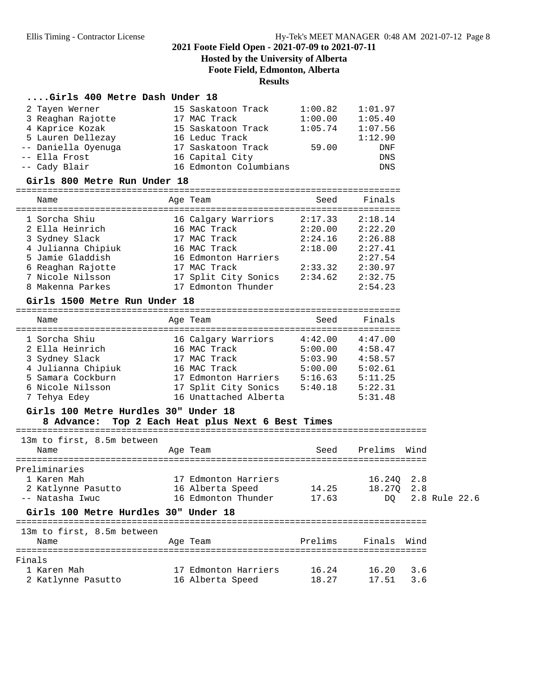# **Hosted by the University of Alberta**

**Foote Field, Edmonton, Alberta**

# **Results**

#### **....Girls 400 Metre Dash Under 18**

| 2 Tayen Werner<br>3 Reaghan Rajotte | 15 Saskatoon Track<br>17 MAC Track | 1:00.82<br>1:00.00 | 1:01.97<br>1:05.40 |
|-------------------------------------|------------------------------------|--------------------|--------------------|
| 4 Kaprice Kozak                     | 15 Saskatoon Track                 | 1:05.74            | 1:07.56            |
| 5 Lauren Dellezay                   | 16 Leduc Track                     |                    | 1:12.90            |
| -- Daniella Oyenuga                 | 17 Saskatoon Track                 | 59.00              | DNF                |
| -- Ella Frost                       | 16 Capital City                    |                    | DNS                |
| -- Cady Blair                       | 16 Edmonton Columbians             |                    | DNS                |
|                                     |                                    |                    |                    |
| Girls 800 Metre Run Under 18        |                                    |                    |                    |
| Name                                | Age Team                           | Seed               | Finals             |
| 1 Sorcha Shiu                       | 16 Calgary Warriors                | 2:17.33            | 2:18.14            |
| 2 Ella Heinrich                     | 16 MAC Track                       | 2:20.00            | 2:22.20            |
| 3 Sydney Slack                      | 17 MAC Track                       | 2:24.16            | 2:26.88            |

| 4 Julianna Chipiuk | 16 MAC Track         | 2:18.00 | 2:27.41 |
|--------------------|----------------------|---------|---------|
| 5 Jamie Gladdish   | 16 Edmonton Harriers |         | 2:27.54 |
| 6 Reaghan Rajotte  | 17 MAC Track         | 2:33.32 | 2:30.97 |
| 7 Nicole Nilsson   | 17 Split City Sonics | 2:34.62 | 2:32.75 |
| 8 Makenna Parkes   | 17 Edmonton Thunder  |         | 2:54.23 |
|                    |                      |         |         |

#### **Girls 1500 Metre Run Under 18**

=========================================================================

| Name               | Age Team              | Seed    | Finals  |
|--------------------|-----------------------|---------|---------|
| 1 Sorcha Shiu      | 16 Calgary Warriors   | 4:42.00 | 4:47.00 |
| 2 Ella Heinrich    | 16 MAC Track          | 5:00.00 | 4:58.47 |
| 3 Sydney Slack     | 17 MAC Track          | 5:03.90 | 4:58.57 |
| 4 Julianna Chipiuk | 16 MAC Track          | 5:00.00 | 5:02.61 |
| 5 Samara Cockburn  | 17 Edmonton Harriers  | 5:16.63 | 5:11.25 |
| 6 Nicole Nilsson   | 17 Split City Sonics  | 5:40.18 | 5:22.31 |
| 7 Tehya Edey       | 16 Unattached Alberta |         | 5:31.48 |

#### **Girls 100 Metre Hurdles 30" Under 18**

#### **8 Advance: Top 2 Each Heat plus Next 6 Best Times**

============================================================================== 13m to first, 8.5m between Name Mage Team Age Team Seed Prelims Wind ============================================================================== Preliminaries 1 Karen Mah 17 Edmonton Harriers 16.24Q 2.8 2 Katlynne Pasutto 16 Alberta Speed 14.25 18.27Q 2.8 -- Natasha Iwuc 16 Edmonton Thunder 17.63 DQ 2.8 Rule 22.6 **Girls 100 Metre Hurdles 30" Under 18** ============================================================================== 13m to first, 8.5m between

| Name               | Age Team             | Prelims | Finals | Wind |
|--------------------|----------------------|---------|--------|------|
| Finals             |                      |         |        |      |
| 1 Karen Mah        | 17 Edmonton Harriers | 16.24   | 16.20  | 36   |
| 2 Katlynne Pasutto | 16 Alberta Speed     | 18.27   | 17.51  | 3.6  |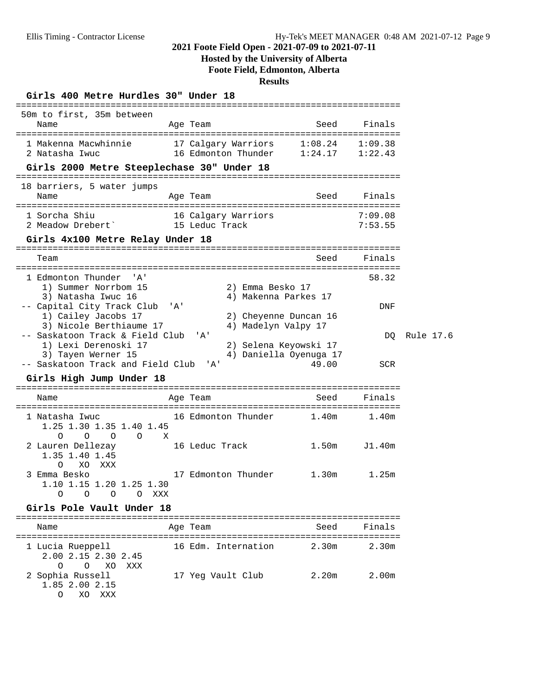### **Hosted by the University of Alberta**

**Foote Field, Edmonton, Alberta**

#### **Results**

### **Girls 400 Metre Hurdles 30" Under 18**

| 50m to first, 35m between<br>Name                                                  | Age Team                              |                                              | Seed                            | Finals             |           |
|------------------------------------------------------------------------------------|---------------------------------------|----------------------------------------------|---------------------------------|--------------------|-----------|
| 1 Makenna Macwhinnie 17 Calgary Warriors 1:08.24 1:09.38<br>2 Natasha Iwuc         | 16 Edmonton Thunder                   |                                              | $1:24.17$ $1:22.43$             |                    |           |
| Girls 2000 Metre Steeplechase 30" Under 18                                         |                                       |                                              |                                 |                    |           |
| 18 barriers, 5 water jumps<br>Name                                                 | Age Team                              |                                              | Seed                            | Finals             |           |
| 1 Sorcha Shiu<br>2 Meadow Drebert`                                                 | 16 Calgary Warriors<br>15 Leduc Track |                                              |                                 | 7:09.08<br>7:53.55 |           |
| Girls 4x100 Metre Relay Under 18                                                   |                                       |                                              |                                 |                    |           |
| Team                                                                               |                                       |                                              | Seed                            | Finals             |           |
| 1 Edmonton Thunder<br>$\overline{A}$<br>1) Summer Norrbom 15<br>3) Natasha Iwuc 16 |                                       | 2) Emma Besko 17<br>4) Makenna Parkes 17     |                                 | 58.32              |           |
| -- Capital City Track Club 'A'<br>1) Cailey Jacobs 17<br>3) Nicole Berthiaume 17   |                                       | 2) Cheyenne Duncan 16<br>4) Madelyn Valpy 17 |                                 | DNF                |           |
| -- Saskatoon Track & Field Club<br>1) Lexi Derenoski 17                            | $'$ A $'$                             | 2) Selena Keyowski 17                        |                                 | DO.                | Rule 17.6 |
| 3) Tayen Werner 15<br>-- Saskatoon Track and Field Club                            | $\overline{A}$                        |                                              | 4) Daniella Oyenuga 17<br>49.00 | <b>SCR</b>         |           |
| Girls High Jump Under 18                                                           |                                       |                                              |                                 |                    |           |
| Name                                                                               | Age Team                              |                                              | Seed                            | Finals             |           |

=========================================================================

### ========================================================================= 1 Natasha Iwuc 16 Edmonton Thunder 1.40m 1.40m 1.25 1.30 1.35 1.40 1.45 O O O O X 2 Lauren Dellezay 16 Leduc Track 1.50m J1.40m 1.35 1.40 1.45  $0$  XO XXX 3 Emma Besko 17 Edmonton Thunder 1.30m 1.25m 1.10 1.15 1.20 1.25 1.30

O O O O XXX

# **Girls Pole Vault Under 18**

| Name                                                            | Age Team            | Seed  | Finals |
|-----------------------------------------------------------------|---------------------|-------|--------|
| 1 Lucia Rueppell<br>2.00 2.15 2.30 2.45<br>O XO XXX<br>$\Omega$ | 16 Edm. Internation | 2.30m | 2.30m  |
| 2 Sophia Russell<br>1.85 2.00 2.15<br>XXX<br>O                  | 17 Yeg Vault Club   | 2.20m | 2.00m  |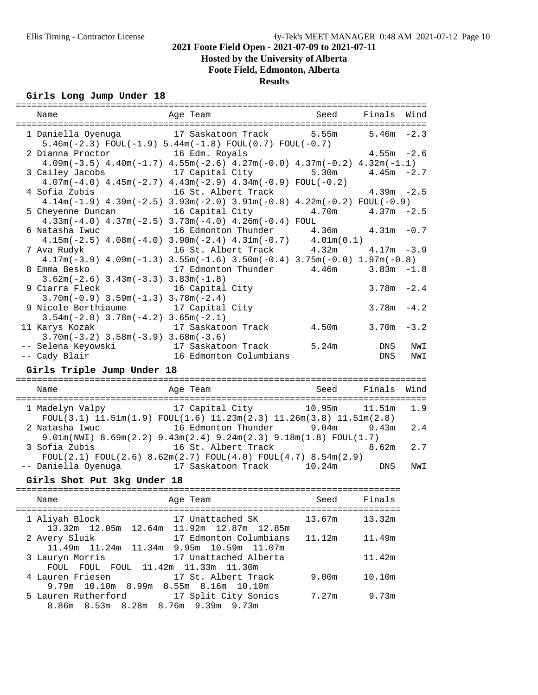# **Hosted by the University of Alberta**

**Foote Field, Edmonton, Alberta**

**Results**

### **Girls Long Jump Under 18**

| ==========<br>Name                                                           | ================================<br>Age Team                                        | =================================<br>Seed | Finals        | Wind   |
|------------------------------------------------------------------------------|-------------------------------------------------------------------------------------|-------------------------------------------|---------------|--------|
|                                                                              |                                                                                     |                                           |               |        |
| 1 Daniella Oyenuga                                                           | 17 Saskatoon Track                                                                  | 5.55m                                     | 5.46m         | $-2.3$ |
|                                                                              | $5.46m(-2.3)$ FOUL $(-1.9)$ $5.44m(-1.8)$ FOUL $(0.7)$ FOUL $(-0.7)$                |                                           |               |        |
| 2 Dianna Proctor                                                             | 16 Edm. Royals                                                                      |                                           | $4.55m - 2.6$ |        |
|                                                                              | $4.09m(-3.5)$ $4.40m(-1.7)$ $4.55m(-2.6)$ $4.27m(-0.0)$ $4.37m(-0.2)$ $4.32m(-1.1)$ |                                           |               |        |
| 3 Cailey Jacobs                                                              | 17 Capital City                                                                     | 5.30m                                     | $4.45m - 2.7$ |        |
|                                                                              | $4.07m(-4.0)$ $4.45m(-2.7)$ $4.43m(-2.9)$ $4.34m(-0.9)$ FOUL(-0.2)                  |                                           |               |        |
| 4 Sofia Zubis                                                                | 16 St. Albert Track                                                                 |                                           | $4.39m - 2.5$ |        |
|                                                                              |                                                                                     |                                           |               |        |
|                                                                              | $4.14m(-1.9)$ $4.39m(-2.5)$ $3.93m(-2.0)$ $3.91m(-0.8)$ $4.22m(-0.2)$ $FOUL(-0.9)$  |                                           |               |        |
| 5 Cheyenne Duncan                                                            | 16 Capital City 4.70m                                                               |                                           | $4.37m - 2.5$ |        |
|                                                                              | $4.33m(-4.0)$ $4.37m(-2.5)$ $3.73m(-4.0)$ $4.26m(-0.4)$ FOUL                        |                                           |               |        |
| 6 Natasha Iwuc                                                               | 16 Edmonton Thunder                                                                 | $4.36m$ $4.31m$ $-0.7$                    |               |        |
|                                                                              | $4.15m(-2.5)$ $4.08m(-4.0)$ $3.90m(-2.4)$ $4.31m(-0.7)$ $4.01m(0.1)$                |                                           |               |        |
| 7 Ava Rudyk                                                                  | 16 St. Albert Track                                                                 | 4.32m                                     | $4.17m - 3.9$ |        |
|                                                                              | $4.17m(-3.9)$ $4.09m(-1.3)$ $3.55m(-1.6)$ $3.50m(-0.4)$ $3.75m(-0.0)$ $1.97m(-0.8)$ |                                           |               |        |
| 8 Emma Besko                                                                 | 17 Edmonton Thunder 4.46m                                                           |                                           | $3.83m - 1.8$ |        |
| $3.62m(-2.6)$ $3.43m(-3.3)$ $3.83m(-1.8)$                                    |                                                                                     |                                           |               |        |
| 9 Ciarra Fleck                                                               | 16 Capital City                                                                     |                                           | $3.78m - 2.4$ |        |
| $3.70m(-0.9)$ $3.59m(-1.3)$ $3.78m(-2.4)$                                    |                                                                                     |                                           |               |        |
| 9 Nicole Berthiaume                                                          | 17 Capital City                                                                     |                                           | $3.78m - 4.2$ |        |
| $3.54m(-2.8)$ $3.78m(-4.2)$ $3.65m(-2.1)$                                    |                                                                                     |                                           |               |        |
| 11 Karys Kozak                                                               | 17 Saskatoon Track 1.50m                                                            |                                           | $3.70m - 3.2$ |        |
|                                                                              |                                                                                     |                                           |               |        |
| $3.70m(-3.2)$ $3.58m(-3.9)$ $3.68m(-3.6)$                                    |                                                                                     |                                           |               |        |
| -- Selena Keyowski                                                           | 17 Saskatoon Track 5.24m                                                            |                                           | DNS           | NWI    |
| -- Cady Blair                                                                | 16 Edmonton Columbians                                                              |                                           | DNS           | NWI    |
| Girls Triple Jump Under 18                                                   |                                                                                     |                                           |               |        |
|                                                                              |                                                                                     |                                           |               |        |
| Name                                                                         | Age Team                                                                            | Seed                                      | Finals        | Wind   |
|                                                                              |                                                                                     |                                           |               |        |
| 1 Madelyn Valpy                                                              | 17 Capital City 10.95m                                                              |                                           | 11.51m        | 1.9    |
|                                                                              | $FOUL(3.1)$ $11.51m(1.9)$ $FOUL(1.6)$ $11.23m(2.3)$ $11.26m(3.8)$ $11.51m(2.8)$     |                                           |               |        |
| 2 Natasha Iwuc                 16 Edmonton Thunder         9.04m       9.43m |                                                                                     |                                           |               | 2.4    |
|                                                                              | $9.01m(NWI) 8.69m(2.2) 9.43m(2.4) 9.24m(2.3) 9.18m(1.8) FOUL(1.7)$                  |                                           |               |        |
|                                                                              |                                                                                     |                                           |               |        |
| 3 Sofia Zubis                                                                | 16 St. Albert Track                                                                 |                                           | 8.62m         | 2.7    |
|                                                                              | $F0UL(2.1) F0UL(2.6) 8.62m(2.7) F0UL(4.0) F0UL(4.7) 8.54m(2.9)$                     |                                           |               |        |
| -- Daniella Oyenuga (17 Saskatoon Track (10.24m)                             |                                                                                     |                                           | DNS           | NWI    |
| Girls Shot Put 3kg Under 18                                                  |                                                                                     |                                           |               |        |
|                                                                              |                                                                                     |                                           |               |        |
| Name                                                                         | Age Team                                                                            | Seed                                      | Finals        |        |
| -------------------------------                                              | ------------                                                                        | --------                                  | ======        |        |
| 1 Aliyah Block                                                               | 17 Unattached SK                                                                    | 13.67m                                    | 13.32m        |        |
|                                                                              | 13.32m 12.05m 12.64m 11.92m 12.87m 12.85m                                           |                                           |               |        |
| 2 Avery Sluik                                                                | 17 Edmonton Columbians                                                              | 11.12m                                    | 11.49m        |        |
|                                                                              | 11.49m  11.24m  11.34m  9.95m  10.59m  11.07m                                       |                                           |               |        |
| 3 Lauryn Morris                                                              | 17 Unattached Alberta                                                               |                                           | 11.42m        |        |
| FOUL FOUL FOUL                                                               | 11.42m  11.33m  11.30m                                                              |                                           |               |        |
|                                                                              |                                                                                     |                                           |               |        |
| 4 Lauren Friesen                                                             | 17 St. Albert Track                                                                 | 9.00 <sub>m</sub>                         | 10.10m        |        |
| 9.79m 10.10m 8.99m                                                           | 8.55m 8.16m 10.10m                                                                  |                                           |               |        |
| 5 Lauren Rutherford                                                          | 17 Split City Sonics                                                                | 7.27m                                     | 9.73m         |        |
| 8.86m 8.53m 8.28m 8.76m 9.39m 9.73m                                          |                                                                                     |                                           |               |        |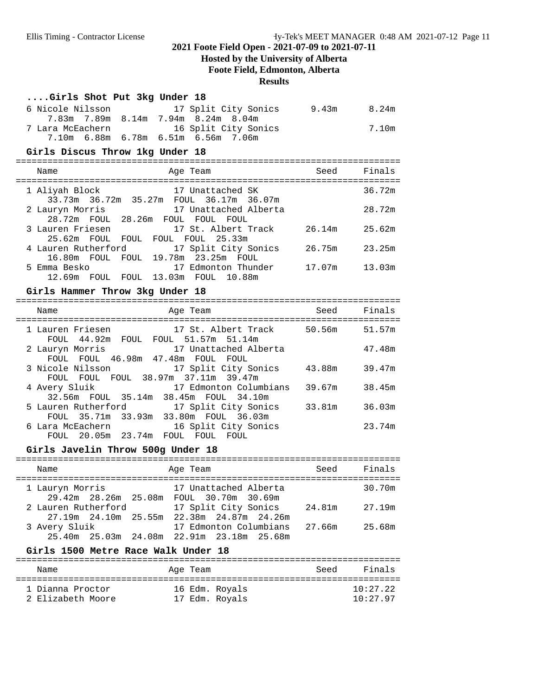# **Hosted by the University of Alberta Foote Field, Edmonton, Alberta**

# **Results**

| Girls Shot Put 3kg Under 18                                                                          |        |                   |
|------------------------------------------------------------------------------------------------------|--------|-------------------|
| 6 Nicole Nilsson<br>17 Split City Sonics 9.43m 8.24m<br>7.83m 7.89m 8.14m 7.94m 8.24m 8.04m          |        |                   |
| 7 Lara McEachern<br>16 Split City Sonics<br>7.10m 6.88m 6.78m 6.51m 6.56m 7.06m                      |        | 7.10 <sub>m</sub> |
| Girls Discus Throw 1kg Under 18                                                                      |        |                   |
| Age Team<br>Name                                                                                     | Seed   | Finals            |
| 17 Unattached SK<br>1 Aliyah Block<br>33.73m 36.72m 35.27m FOUL 36.17m 36.07m                        |        | 36.72m            |
| 2 Lauryn Morris<br>17 Unattached Alberta<br>28.72m FOUL 28.26m FOUL FOUL FOUL                        |        | 28.72m            |
| 17 St. Albert Track 26.14m<br>3 Lauren Friesen<br>25.62m FOUL FOUL FOUL FOUL 25.33m                  |        | 25.62m            |
| 17 Split City Sonics<br>4 Lauren Rutherford<br>16.80m FOUL FOUL 19.78m 23.25m FOUL                   | 26.75m | 23.25m            |
| 5 Emma Besko<br>17 Edmonton Thunder<br>12.69m FOUL FOUL 13.03m FOUL 10.88m                           | 17.07m | 13.03m            |
| Girls Hammer Throw 3kg Under 18                                                                      |        |                   |
| Name<br>Age Team                                                                                     | Seed   | Finals            |
| 17 St. Albert Track 50.56m<br>1 Lauren Friesen<br>FOUL 44.92m FOUL FOUL 51.57m 51.14m                |        | 51.57m            |
| 17 Unattached Alberta<br>2 Lauryn Morris<br>FOUL FOUL 46.98m 47.48m FOUL FOUL                        |        | 47.48m            |
| 3 Nicole Nilsson<br>17 Split City Sonics<br>FOUL FOUL FOUL 38.97m 37.11m 39.47m                      | 43.88m | 39.47m            |
| 17 Edmonton Columbians<br>4 Avery Sluik<br>32.56m FOUL 35.14m 38.45m FOUL 34.10m                     | 39.67m | 38.45m            |
| 5 Lauren Rutherford<br>17 Split City Sonics<br>FOUL 35.71m 33.93m 33.80m FOUL 36.03m                 | 33.81m | 36.03m            |
| 6 Lara McEachern<br>16 Split City Sonics<br>FOUL 20.05m 23.74m FOUL FOUL FOUL                        |        | 23.74m            |
| Girls Javelin Throw 500g Under 18                                                                    |        |                   |
| Age Team<br>Name                                                                                     | Seed   | Finals            |
| 1 Lauryn Morris<br>17 Unattached Alberta<br>29.42m  28.26m  25.08m  FOUL  30.70m  30.69m             |        | 30.70m            |
| 17 Split City Sonics 24.81m<br>2 Lauren Rutherford<br>27.19m  24.10m  25.55m  22.38m  24.87m  24.26m |        | 27.19m            |
| 17 Edmonton Columbians 27.66m<br>3 Avery Sluik<br>25.40m  25.03m  24.08m  22.91m  23.18m  25.68m     |        | 25.68m            |

### **Girls 1500 Metre Race Walk Under 18**

| Name              | Age Team       | Finals<br>Seed |
|-------------------|----------------|----------------|
| 1 Dianna Proctor  | 16 Edm. Rovals | 10:27.22       |
| 2 Elizabeth Moore | 17 Edm. Royals | 10:27.97       |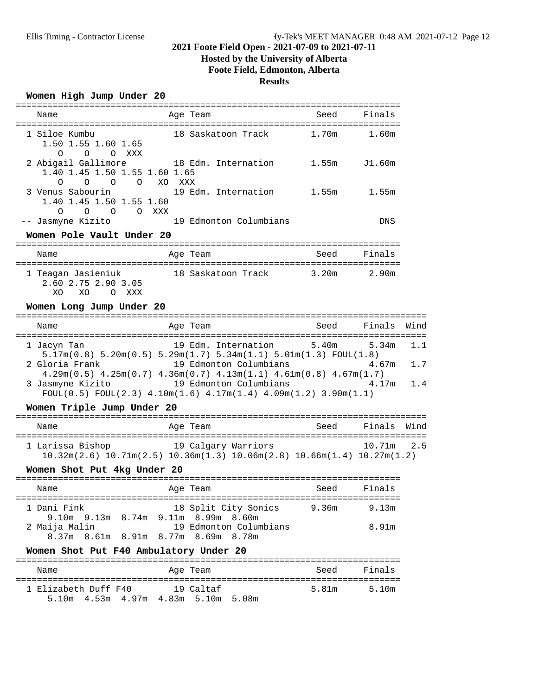# **Hosted by the University of Alberta Foote Field, Edmonton, Alberta**

### **Results**

### **Women High Jump Under 20**

| Name                                                                                          | Age Team                                                                                                                                            | Seed  | Finals         |      |
|-----------------------------------------------------------------------------------------------|-----------------------------------------------------------------------------------------------------------------------------------------------------|-------|----------------|------|
| 1 Siloe Kumbu<br>1.50 1.55 1.60 1.65                                                          | 18 Saskatoon Track 1.70m                                                                                                                            |       | 1.60m          |      |
| O O O XXX<br>2 Abigail Gallimore<br>1.40 1.45 1.50 1.55 1.60 1.65<br>O O O XO XXX<br>$\Omega$ | 18 Edm. Internation                                                                                                                                 |       | 1.55m J1.60m   |      |
| 3 Venus Sabourin<br>1.40 1.45 1.50 1.55 1.60<br>O O O XXX<br>$\circ$                          | 19 Edm. Internation 1.55m 1.55m                                                                                                                     |       |                |      |
| -- Jasmyne Kizito<br>Women Pole Vault Under 20                                                | 19 Edmonton Columbians                                                                                                                              |       | DNS            |      |
|                                                                                               |                                                                                                                                                     |       |                |      |
| Name                                                                                          | Age Team                                                                                                                                            | Seed  | Finals         |      |
| 2.60 2.75 2.90 3.05<br>XO<br>XO.<br>O XXX                                                     | 1 Teagan Jasieniuk 18 Saskatoon Track 3.20m 2.90m                                                                                                   |       |                |      |
| Women Long Jump Under 20                                                                      |                                                                                                                                                     |       |                |      |
| Name                                                                                          | Age Team                                                                                                                                            | Seed  | Finals         | Wind |
| 1 Jacyn Tan                                                                                   | 19 Edm. Internation<br>$5.17m(0.8)$ $5.20m(0.5)$ $5.29m(1.7)$ $5.34m(1.1)$ $5.01m(1.3)$ $FOUL(1.8)$                                                 | 5.40m | 5.34m          | 1.1  |
| 2 Gloria Frank                                                                                | 19 Edmonton Columbians 4.67m<br>$4.29m(0.5)$ $4.25m(0.7)$ $4.36m(0.7)$ $4.13m(1.1)$ $4.61m(0.8)$ $4.67m(1.7)$                                       |       |                | 1.7  |
|                                                                                               | 3 Jasmyne Kizito 19 Edmonton Columbians 4.17m<br>$FOUT(0.5) FOUT(2.3) 4.10m(1.6) 4.17m(1.4) 4.09m(1.2) 3.90m(1.1)$                                  |       |                | 1.4  |
| Women Triple Jump Under 20                                                                    |                                                                                                                                                     |       |                |      |
| Name                                                                                          | Age Team                                                                                                                                            | Seed  | Finals         | Wind |
|                                                                                               | 1 Larissa Bishop 19 Calgary Warriors<br>$10.32$ m $(2.6)$ $10.71$ m $(2.5)$ $10.36$ m $(1.3)$ $10.06$ m $(2.8)$ $10.66$ m $(1.4)$ $10.27$ m $(1.2)$ |       | 10.71m         | 2.5  |
| Women Shot Put 4kg Under 20                                                                   |                                                                                                                                                     |       |                |      |
| Name                                                                                          | Age Team                                                                                                                                            | Seed  | Finals         |      |
| 1 Dani Fink<br>2 Maija Malin<br>8.37m 8.61m 8.91m 8.77m 8.69m 8.78m                           | 18 Split City Sonics<br>9.10m 9.13m 8.74m 9.11m 8.99m 8.60m<br>19 Edmonton Columbians                                                               | 9.36m | 9.13m<br>8.91m |      |
| Women Shot Put F40 Ambulatory Under 20                                                        |                                                                                                                                                     |       |                |      |
| Name                                                                                          | Age Team                                                                                                                                            | Seed  | Finals         |      |
| 1 Elizabeth Duff F40                                                                          | 19 Caltaf                                                                                                                                           | 5.81m | 5.10m          |      |

5.10m 4.53m 4.97m 4.83m 5.10m 5.08m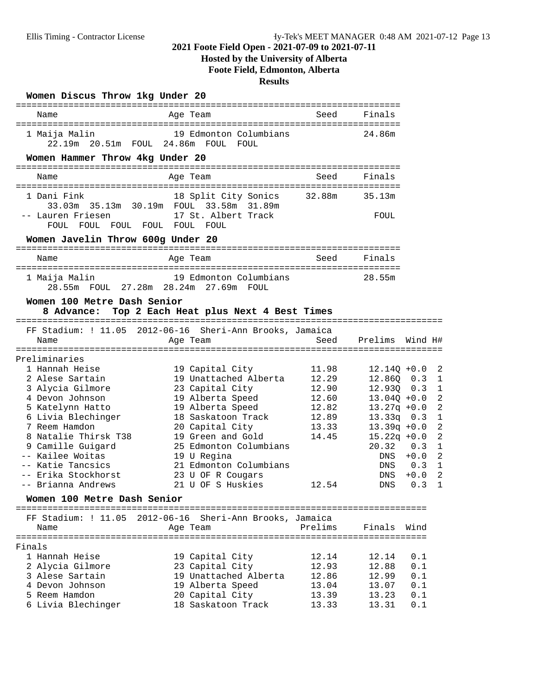# **Hosted by the University of Alberta Foote Field, Edmonton, Alberta**

# **Results**

| Women Discus Throw 1kg Under 20                                    |                                                                      |                |                               |         |                                |
|--------------------------------------------------------------------|----------------------------------------------------------------------|----------------|-------------------------------|---------|--------------------------------|
| Name                                                               | Age Team                                                             | Seed           | Finals                        |         |                                |
| 1 Maija Malin                                                      | 19 Edmonton Columbians<br>22.19m  20.51m  FOUL  24.86m  FOUL  FOUL   |                | 24.86m                        |         |                                |
| Women Hammer Throw 4kg Under 20                                    |                                                                      |                |                               |         |                                |
| Name                                                               | Age Team                                                             | Seed           | Finals                        |         |                                |
| 1 Dani Fink<br>-- Lauren Friesen                                   | 18 Split City Sonics 32.88m<br>17 St. Albert Track                   |                | 35.13m<br>FOUL                |         |                                |
| FOUL FOUL FOUL FOUL FOUL FOUL<br>Women Javelin Throw 600g Under 20 |                                                                      |                |                               |         |                                |
| Name                                                               | Age Team                                                             | Seed           | Finals                        |         |                                |
| 1 Maija Malin                                                      | 19 Edmonton Columbians<br>28.55m FOUL 27.28m 28.24m 27.69m FOUL      |                | 28.55m                        |         |                                |
| Women 100 Metre Dash Senior                                        | 8 Advance: Top 2 Each Heat plus Next 4 Best Times                    |                |                               |         |                                |
| Name                                                               | FF Stadium: ! 11.05 2012-06-16 Sheri-Ann Brooks, Jamaica<br>Age Team | Seed           | Prelims                       | Wind H# |                                |
| Preliminaries                                                      |                                                                      |                |                               |         |                                |
| 1 Hannah Heise                                                     | 19 Capital City                                                      | 11.98          | $12.14Q + 0.0$                |         | $\overline{2}$                 |
| 2 Alese Sartain                                                    | 19 Unattached Alberta                                                | 12.29          | 12.860 0.3                    |         | 1                              |
| 3 Alycia Gilmore                                                   | 23 Capital City                                                      | 12.90          | 12.93Q                        | 0.3     | $\mathbf{1}$                   |
| 4 Devon Johnson                                                    | 19 Alberta Speed                                                     | 12.60          | $13.04Q + 0.0$                |         | $\overline{2}$                 |
| 5 Katelynn Hatto                                                   | 19 Alberta Speed                                                     | 12.82          | $13.27q +0.0$                 |         | $\overline{2}$                 |
| 6 Livia Blechinger<br>7 Reem Hamdon                                | 18 Saskatoon Track                                                   | 12.89<br>13.33 | $13.33q$ 0.3<br>$13.39q +0.0$ |         | $\mathbf{1}$<br>$\overline{a}$ |
| 8 Natalie Thirsk T38                                               | 20 Capital City<br>19 Green and Gold                                 | 14.45          | $15.22q + 0.0$                |         | $\overline{a}$                 |
| 9 Camille Guigard                                                  | 25 Edmonton Columbians                                               |                | $20.32$ 0.3                   |         | $\mathbf{1}$                   |
| -- Kailee Woitas                                                   | 19 U Regina                                                          |                | DNS                           | $+0.0$  | $\overline{2}$                 |
| -- Katie Tancsics                                                  | 21 Edmonton Columbians                                               |                | DNS                           | 0.3     | 1                              |
| -- Erika Stockhorst                                                | 23 U OF R Cougars                                                    |                | <b>DNS</b>                    | $+0.0$  | $\overline{a}$                 |
| -- Brianna Andrews                                                 | 21 U OF S Huskies                                                    | 12.54          | DNS                           | 0.3     | 1                              |
| Women 100 Metre Dash Senior                                        |                                                                      |                |                               |         |                                |
|                                                                    | FF Stadium: ! 11.05 2012-06-16 Sheri-Ann Brooks, Jamaica             |                |                               |         |                                |
| Name                                                               | Age Team                                                             | Prelims        | Finals                        | Wind    |                                |
| Finals                                                             |                                                                      |                |                               |         |                                |
| 1 Hannah Heise                                                     | 19 Capital City                                                      | 12.14          | 12.14                         | 0.1     |                                |
| 2 Alycia Gilmore                                                   | 23 Capital City                                                      | 12.93          | 12.88                         | 0.1     |                                |
| 3 Alese Sartain                                                    | 19 Unattached Alberta                                                | 12.86          | 12.99                         | 0.1     |                                |
| 4 Devon Johnson                                                    | 19 Alberta Speed                                                     | 13.04          | 13.07                         | 0.1     |                                |
| 5 Reem Hamdon                                                      | 20 Capital City                                                      | 13.39          | 13.23                         | 0.1     |                                |
| 6 Livia Blechinger                                                 | 18 Saskatoon Track                                                   | 13.33          | 13.31                         | 0.1     |                                |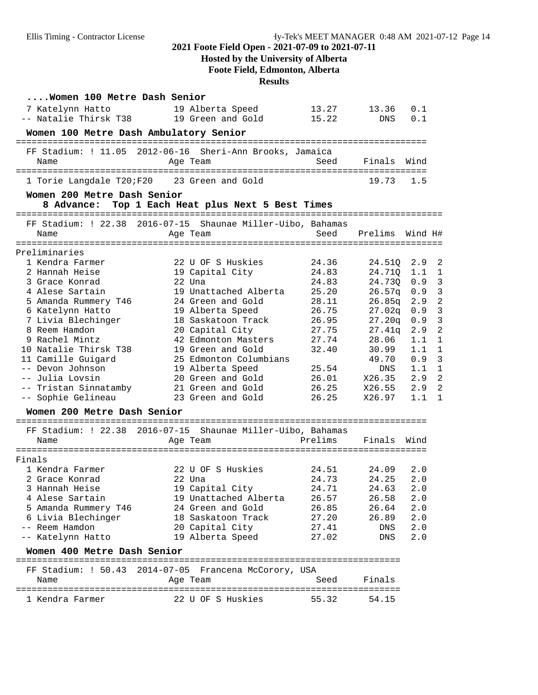# **Hosted by the University of Alberta**

**Foote Field, Edmonton, Alberta**

**Results**

| Women 100 Metre Dash Senior                                 |                                                   |         |            |         |                |
|-------------------------------------------------------------|---------------------------------------------------|---------|------------|---------|----------------|
| 7 Katelynn Hatto                                            | 19 Alberta Speed                                  | 13.27   | 13.36      | 0.1     |                |
| -- Natalie Thirsk T38 19 Green and Gold                     |                                                   | 15.22   | <b>DNS</b> | 0.1     |                |
| Women 100 Metre Dash Ambulatory Senior                      |                                                   |         |            |         |                |
| FF Stadium: ! 11.05 2012-06-16 Sheri-Ann Brooks, Jamaica    |                                                   |         |            |         |                |
| Name                                                        | Age Team                                          | Seed    | Finals     | Wind    |                |
| 1 Torie Langdale T20;F20                                    | 23 Green and Gold                                 |         | 19.73      | 1.5     |                |
| Women 200 Metre Dash Senior                                 |                                                   |         |            |         |                |
|                                                             | 8 Advance: Top 1 Each Heat plus Next 5 Best Times |         |            |         |                |
| FF Stadium: ! 22.38 2016-07-15 Shaunae Miller-Uibo, Bahamas |                                                   |         |            |         |                |
| Name                                                        | Age Team                                          | Seed    | Prelims    | Wind H# |                |
| Preliminaries                                               |                                                   |         |            |         |                |
| 1 Kendra Farmer                                             | 22 U OF S Huskies                                 | 24.36   | 24.510     | 2.9     | $\overline{2}$ |
| 2 Hannah Heise                                              | 19 Capital City                                   | 24.83   | 24.710     | 1.1     | 1              |
| 3 Grace Konrad                                              | $22$ Una                                          | 24.83   | 24.730     | 0.9     | 3              |
| 4 Alese Sartain                                             | 19 Unattached Alberta                             | 25.20   | 26.57q     | 0.9     | 3              |
| 5 Amanda Rummery T46                                        | 24 Green and Gold                                 | 28.11   | 26.85q     | 2.9     | $\overline{2}$ |
| 6 Katelynn Hatto                                            | 19 Alberta Speed                                  | 26.75   | 27.02q     | 0.9     | 3              |
| 7 Livia Blechinger                                          | 18 Saskatoon Track                                | 26.95   | 27.20q     | 0.9     | 3              |
| 8 Reem Hamdon                                               | 20 Capital City                                   | 27.75   | 27.41q     | 2.9     | $\overline{2}$ |
| 9 Rachel Mintz                                              | 42 Edmonton Masters                               | 27.74   | 28.06      | 1.1     | 1              |
| 10 Natalie Thirsk T38                                       | 19 Green and Gold                                 | 32.40   | 30.99      | 1.1     | $\mathbf{1}$   |
| 11 Camille Guigard                                          | 25 Edmonton Columbians                            |         | 49.70      | 0.9     | 3              |
| -- Devon Johnson                                            | 19 Alberta Speed                                  | 25.54   | DNS        | 1.1     | $\mathbf{1}$   |
| -- Julia Lovsin                                             | 20 Green and Gold                                 | 26.01   | X26.35     | 2.9     | $\overline{2}$ |
| -- Tristan Sinnatamby                                       | 21 Green and Gold                                 | 26.25   | X26.55     | 2.9     | $\overline{2}$ |
| -- Sophie Gelineau                                          | 23 Green and Gold                                 | 26.25   | X26.97     | 1.1     | 1              |
| Women 200 Metre Dash Senior                                 |                                                   |         |            |         |                |
| FF Stadium: ! 22.38 2016-07-15 Shaunae Miller-Uibo, Bahamas |                                                   |         |            |         |                |
| Name                                                        | Age Team                                          | Prelims | Finals     | Wind    |                |
|                                                             |                                                   |         |            |         |                |
| Finals                                                      |                                                   |         |            |         |                |
| 1 Kendra Farmer                                             | 22 U OF S Huskies                                 | 24.51   | 24.09      | 2.0     |                |
| 2 Grace Konrad                                              | 22 Una                                            | 24.73   | 24.25      | 2.0     |                |
| 3 Hannah Heise                                              | 19 Capital City                                   | 24.71   | 24.63      | $2.0$   |                |
| 4 Alese Sartain                                             | 19 Unattached Alberta                             | 26.57   | 26.58      | 2.0     |                |
| 5 Amanda Rummery T46                                        | 24 Green and Gold                                 | 26.85   | 26.64      | 2.0     |                |
| 6 Livia Blechinger                                          | 18 Saskatoon Track                                | 27.20   | 26.89      | 2.0     |                |
| -- Reem Hamdon                                              | 20 Capital City                                   | 27.41   | DNS        | 2.0     |                |
| -- Katelynn Hatto                                           | 19 Alberta Speed                                  | 27.02   | DNS        | 2.0     |                |
| Women 400 Metre Dash Senior                                 |                                                   |         |            |         |                |
| FF Stadium: ! 50.43 2014-07-05 Francena McCorory, USA       |                                                   |         |            |         |                |
| Name                                                        | Age Team                                          | Seed    | Finals     |         |                |
| 1 Kendra Farmer                                             | 22 U OF S Huskies                                 | 55.32   | 54.15      |         |                |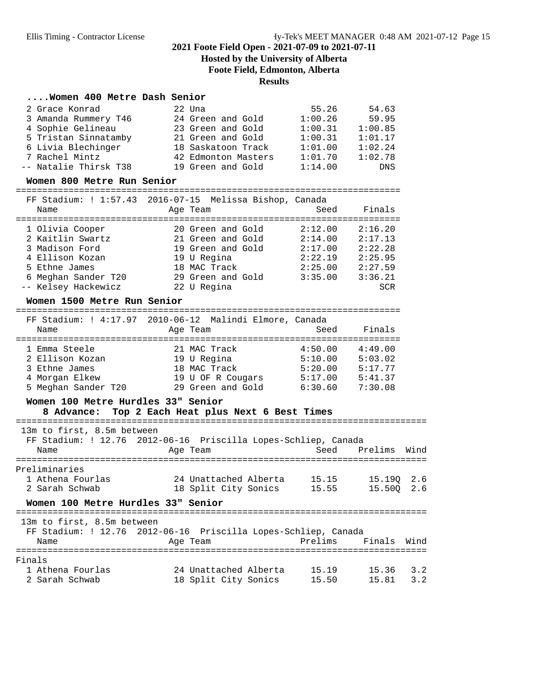# **Hosted by the University of Alberta Foote Field, Edmonton, Alberta**

# **Results**

#### **....Women 400 Metre Dash Senior**

| 2 Grace Konrad        | 22 Una              | 55.26   | 54.63   |
|-----------------------|---------------------|---------|---------|
| 3 Amanda Rummery T46  | 24 Green and Gold   | 1:00.26 | 59.95   |
| 4 Sophie Gelineau     | 23 Green and Gold   | 1:00.31 | 1:00.85 |
| 5 Tristan Sinnatamby  | 21 Green and Gold   | 1:00.31 | 1:01.17 |
| 6 Livia Blechinger    | 18 Saskatoon Track  | 1:01.00 | 1:02.24 |
| 7 Rachel Mintz        | 42 Edmonton Masters | 1:01.70 | 1:02.78 |
| -- Natalie Thirsk T38 | 19 Green and Gold   | 1:14.00 | DNS     |

#### **Women 800 Metre Run Senior**

========================================================================= FF Stadium: ! 1:57.43 2016-07-15 Melissa Bishop, Canada

| rr Staulum, : 1,37,43 ZUID-07-IS MEIISSA BISHOP, Canaua<br>Name | Age Team          | Seed    | Finals  |
|-----------------------------------------------------------------|-------------------|---------|---------|
| 1 Olivia Cooper                                                 | 20 Green and Gold | 2:12.00 | 2:16.20 |
| 2 Kaitlin Swartz                                                | 21 Green and Gold | 2:14.00 | 2:17.13 |
| 3 Madison Ford                                                  | 19 Green and Gold | 2:17.00 | 2:22.28 |
| 4 Ellison Kozan                                                 | 19 U Regina       | 2:22.19 | 2:25.95 |
| 5 Ethne James                                                   | 18 MAC Track      | 2:25.00 | 2:27.59 |
| 6 Meghan Sander T20                                             | 29 Green and Gold | 3:35.00 | 3:36.21 |
| -- Kelsey Hackewicz                                             | 22 U Regina       |         | SCR     |

#### **Women 1500 Metre Run Senior**

|               | FF Stadium: ! 4:17.97 2010-06-12 Malindi Elmore, Canada |         |         |
|---------------|---------------------------------------------------------|---------|---------|
| Name          | Age Team                                                | Seed    | Finals  |
|               |                                                         |         |         |
| 1 Emma Steele | 21 MAC Track                                            | 4:50.00 | 4:49 00 |

| 2 Ellison Kozan     | 19 U Regina       | 5:10.00 | 5:03.02 |
|---------------------|-------------------|---------|---------|
| 3 Ethne James       | 18 MAC Track      | 5:20.00 | 5:17.77 |
| 4 Morgan Elkew      | 19 U OF R Cougars | 5:17.00 | 5:41.37 |
| 5 Meghan Sander T20 | 29 Green and Gold | 6:30.60 | 7:30.08 |

### **Women 100 Metre Hurdles 33" Senior**

### **8 Advance: Top 2 Each Heat plus Next 6 Best Times**

| 13m to first, 8.5m between         | FF Stadium: ! 12.76 2012-06-16 Priscilla Lopes-Schliep, Canada |             |                     |     |
|------------------------------------|----------------------------------------------------------------|-------------|---------------------|-----|
| Name                               | Age Team                                                       |             | Seed Prelims Wind   |     |
| Preliminaries<br>1 Athena Fourlas  | 24 Unattached Alberta 15.15                                    |             | 15.190 2.6          |     |
| 2 Sarah Schwab                     | 18 Split City Sonics 15.55                                     |             | 15.500 2.6          |     |
| Women 100 Metre Hurdles 33" Senior |                                                                |             |                     |     |
| 13m to first, 8.5m between         | FF Stadium: ! 12.76 2012-06-16 Priscilla Lopes-Schliep, Canada |             |                     |     |
| Name                               | Age Team                                                       |             | Prelims Finals Wind |     |
|                                    |                                                                |             |                     |     |
| Finals                             |                                                                |             |                     |     |
| 1 Athena Fourlas                   | 24 Unattached Alberta                                          | 15.19 15.36 |                     | 3.2 |
| 2 Sarah Schwab                     | 18 Split City Sonics                                           | 15.50       | 15.81               | 3.2 |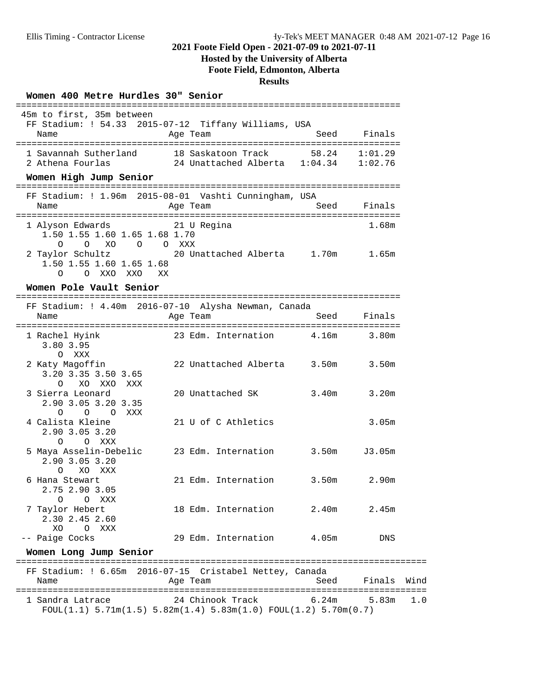### **Hosted by the University of Alberta Foote Field, Edmonton, Alberta**

#### **Results**

#### **Women 400 Metre Hurdles 30" Senior**

 45m to first, 35m between FF Stadium: ! 54.33 2015-07-12 Tiffany Williams, USA Name Age Team Age Team Seed Finals ========================================================================= 1 Savannah Sutherland 18 Saskatoon Track 58.24 1:01.29<br>2 Athena Fourlas 24 Unattached Alberta 1:04.34 1:02.76 2 Athena Fourlas 24 Unattached Alberta 1:04.34 **Women High Jump Senior** ========================================================================= FF Stadium: ! 1.96m 2015-08-01 Vashti Cunningham, USA Name **Age Team** Seed Finals ========================================================================= 1 Alyson Edwards 21 U Regina 1.50 1.55 1.60 1.65 1.68 1.70 O O XO O O XXX<br>10r Schultz 20 U 2 Taylor Schultz 20 Unattached Alberta 1.70m 1.65m 1.50 1.55 1.60 1.65 1.68 O O XXO XXO XX **Women Pole Vault Senior** ========================================================================= FF Stadium: ! 4.40m 2016-07-10 Alysha Newman, Canada Name Age Team Seed Finals ========================================================================= 1 Rachel Hyink 23 Edm. Internation 4.16m 3.80m 3.80 3.95 O XXX<br>2 Katy Magoffin 22 Unattached Alberta 3.50m 3.50m 3.20 3.35 3.50 3.65 O XO XXO XXX 3 Sierra Leonard 20 Unattached SK 3.40m 3.20m 2.90 3.05 3.20 3.35 O O O XXX<br>4 Calista Kleine 21 U of C Athletics 3.05m 2.90 3.05 3.20 O O XXX 5 Maya Asselin-Debelic 23 Edm. Internation 3.50m J3.05m 2.90 3.05 3.20 O XO XXX 6 Hana Stewart 21 Edm. Internation 3.50m 2.90m 2.75 2.90 3.05 O O XXX 7 Taylor Hebert 18 Edm. Internation 2.40m 2.45m 2.30 2.45 2.60 XO O XXX -- Paige Cocks 29 Edm. Internation 4.05m DNS **Women Long Jump Senior** ============================================================================== FF Stadium: ! 6.65m 2016-07-15 Cristabel Nettey, Canada Name **Age Team** Age Team Seed Finals Wind ============================================================================== 1 Sandra Latrace 24 Chinook Track 6.24m 5.83m 1.0

=========================================================================

 $F\text{OUL}(1.1)$  5.71m $(1.5)$  5.82m $(1.4)$  5.83m $(1.0)$   $F\text{OUL}(1.2)$  5.70m $(0.7)$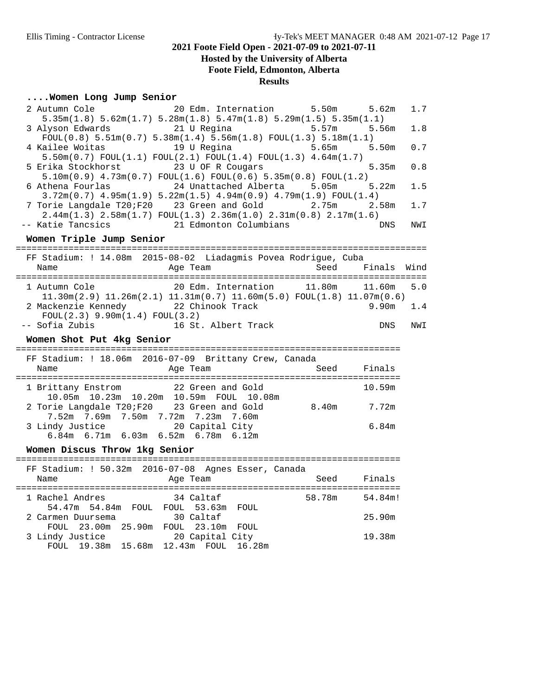# **Hosted by the University of Alberta Foote Field, Edmonton, Alberta**

### **Results**

### **....Women Long Jump Senior**

| Women Long Jump Senior                                                                                                                                                                                                       |         |      |
|------------------------------------------------------------------------------------------------------------------------------------------------------------------------------------------------------------------------------|---------|------|
| 2 Autumn Cole<br>20 Edm. Internation<br>5.50m<br>$5.35m(1.8)$ $5.62m(1.7)$ $5.28m(1.8)$ $5.47m(1.8)$ $5.29m(1.5)$ $5.35m(1.1)$                                                                                               | 5.62m   | 1.7  |
| 21 U Regina<br>3 Alyson Edwards<br>5.57m                                                                                                                                                                                     | 5.56m   | 1.8  |
| $FOUL(0.8) 5.51m(0.7) 5.38m(1.4) 5.56m(1.8) FOUL(1.3) 5.18m(1.1)$<br>4 Kailee Woitas<br>19 U Regina<br>5.65m                                                                                                                 | 5.50m   | 0.7  |
| $5.50m(0.7)$ FOUL $(1.1)$ FOUL $(2.1)$ FOUL $(1.4)$ FOUL $(1.3)$ 4.64m $(1.7)$<br>5 Erika Stockhorst<br>23 U OF R Cougars<br>$5.10\text{m}(0.9)$ $4.73\text{m}(0.7)$ $FOUL(1.6)$ $FOUL(0.6)$ $5.35\text{m}(0.8)$ $FOUL(1.2)$ | 5.35m   | 0.8  |
| 24 Unattached Alberta 5.05m<br>6 Athena Fourlas                                                                                                                                                                              | 5.22m   | 1.5  |
| $3.72m(0.7)$ $4.95m(1.9)$ $5.22m(1.5)$ $4.94m(0.9)$ $4.79m(1.9)$ $FOUL(1.4)$<br>7 Torie Langdale T20;F20 23 Green and Gold<br>2.75m                                                                                          | 2.58m   | 1.7  |
| $2.44m(1.3)$ $2.58m(1.7)$ $FOUL(1.3)$ $2.36m(1.0)$ $2.31m(0.8)$ $2.17m(1.6)$<br>-- Katie Tancsics<br>21 Edmonton Columbians                                                                                                  | DNS     | NWI  |
| Women Triple Jump Senior                                                                                                                                                                                                     |         |      |
| FF Stadium: ! 14.08m 2015-08-02 Liadagmis Povea Rodrigue, Cuba<br>Seed<br>Name<br>Age Team                                                                                                                                   | Finals  | Wind |
|                                                                                                                                                                                                                              |         |      |
| 20 Edm. Internation<br>11.80m<br>1 Autumn Cole                                                                                                                                                                               | 11.60m  | 5.0  |
| $11.30$ m $(2.9)$ $11.26$ m $(2.1)$ $11.31$ m $(0.7)$ $11.60$ m $(5.0)$ $FOUL(1.8)$ $11.07$ m $(0.6)$<br>2 Mackenzie Kennedy 22 Chinook Track<br>FOUL(2.3) 9.90m(1.4) FOUL(3.2)                                              | 9.90m   | 1.4  |
| -- Sofia Zubis<br>16 St. Albert Track                                                                                                                                                                                        | DNS     | NWI  |
| Women Shot Put 4kg Senior                                                                                                                                                                                                    |         |      |
| FF Stadium: ! 18.06m 2016-07-09 Brittany Crew, Canada                                                                                                                                                                        |         |      |
| Name<br>Seed<br>Age Team                                                                                                                                                                                                     | Finals  |      |
| 22 Green and Gold<br>1 Brittany Enstrom                                                                                                                                                                                      | 10.59m  |      |
| 10.05m  10.23m  10.20m  10.59m  FOUL  10.08m<br>2 Torie Langdale T20;F20<br>8.40m 7.72m<br>23 Green and Gold<br>7.52m 7.69m 7.50m 7.72m 7.23m 7.60m                                                                          |         |      |
| 3 Lindy Justice<br>20 Capital City<br>6.84m 6.71m 6.03m 6.52m 6.78m 6.12m                                                                                                                                                    | 6.84m   |      |
| Women Discus Throw 1kg Senior                                                                                                                                                                                                |         |      |
| FF Stadium: ! 50.32m 2016-07-08 Agnes Esser, Canada                                                                                                                                                                          |         |      |
| Seed<br>Name<br>Age Team                                                                                                                                                                                                     | Finals  |      |
| 58.78m<br>1 Rachel Andres<br>34 Caltaf<br>54.47m 54.84m FOUL FOUL 53.63m FOUL                                                                                                                                                | 54.84m! |      |
| 2 Carmen Duursema<br>30 Caltaf                                                                                                                                                                                               | 25.90m  |      |
| FOUL 23.00m 25.90m FOUL 23.10m FOUL<br>20 Capital City<br>3 Lindy Justice<br>FOUL 19.38m 15.68m 12.43m FOUL 16.28m                                                                                                           | 19.38m  |      |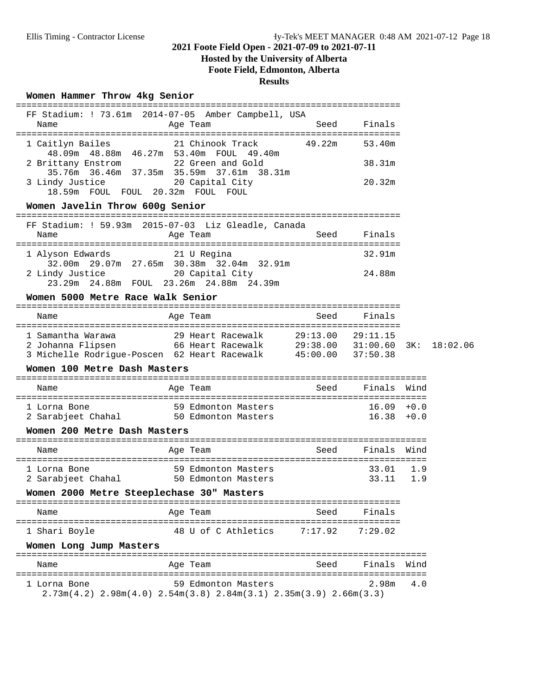# **Hosted by the University of Alberta**

**Foote Field, Edmonton, Alberta**

# **Results**

### **Women Hammer Throw 4kg Senior**

| FF Stadium: ! 73.61m 2014-07-05 Amber Campbell, USA<br>Name                                                                                                                                                                                                  | Age Team                            | Seed | Finals                     |     |          |
|--------------------------------------------------------------------------------------------------------------------------------------------------------------------------------------------------------------------------------------------------------------|-------------------------------------|------|----------------------------|-----|----------|
| 1 Caitlyn Bailes <b>21 Chinook Track</b> 49.22m<br>48.09m  48.88m  46.27m  53.40m  FOUL  49.40m<br>2 Brittany Enstrom 22 Green and Gold<br>35.76m 36.46m 37.35m 35.59m 37.61m 38.31m<br>3 Lindy Justice 20 Capital City<br>18.59m FOUL FOUL 20.32m FOUL FOUL |                                     |      | 53.40m<br>38.31m<br>20.32m |     |          |
| Women Javelin Throw 600g Senior                                                                                                                                                                                                                              |                                     |      |                            |     |          |
| FF Stadium: ! 59.93m 2015-07-03 Liz Gleadle, Canada<br>Name                                                                                                                                                                                                  | Age Team                            |      | Seed Finals                |     |          |
| 1 Alyson Edwards<br>32.00m  29.07m  27.65m  30.38m  32.04m  32.91m                                                                                                                                                                                           | 21 U Regina                         |      | 32.91m                     |     |          |
| 2 Lindy Justice 20 Capital City<br>23.29m  24.88m  FOUL  23.26m  24.88m  24.39m                                                                                                                                                                              |                                     |      | 24.88m                     |     |          |
| Women 5000 Metre Race Walk Senior                                                                                                                                                                                                                            |                                     |      |                            |     |          |
| Name                                                                                                                                                                                                                                                         | Age Team                            |      | Seed Finals                |     |          |
| 3 Michelle Rodrigue-Poscen 62 Heart Racewalk 45:00.00 37:50.38                                                                                                                                                                                               |                                     |      |                            | 3K: | 18:02.06 |
| Women 100 Metre Dash Masters                                                                                                                                                                                                                                 |                                     |      |                            |     |          |
| Name                                                                                                                                                                                                                                                         | Age Team and Seed Finals Wind       |      |                            |     |          |
| 1 Lorna Bone<br>2 Sarabjeet Chahal 50 Edmonton Masters                                                                                                                                                                                                       | 59 Edmonton Masters $16.09 + 0.0$   |      | $16.38 + 0.0$              |     |          |
| Women 200 Metre Dash Masters                                                                                                                                                                                                                                 |                                     |      |                            |     |          |
| Name                                                                                                                                                                                                                                                         | Age Team                            |      | Seed Finals Wind           |     |          |
| 1 Lorna Bone<br>2 Sarabjeet Chahal 50 Edmonton Masters                                                                                                                                                                                                       | 59 Edmonton Masters                 |      | 33.01 1.9<br>33.11         | 1.9 |          |
| Women 2000 Metre Steeplechase 30" Masters                                                                                                                                                                                                                    |                                     |      |                            |     |          |
| Name                                                                                                                                                                                                                                                         | Age Team                            | Seed | Finals                     |     |          |
| 1 Shari Boyle                                                                                                                                                                                                                                                | 48 U of C Athletics 7:17.92 7:29.02 |      |                            |     |          |
| Women Long Jump Masters                                                                                                                                                                                                                                      |                                     |      |                            |     |          |
| Name                                                                                                                                                                                                                                                         | Age Team                            |      | Seed Finals Wind           |     |          |
| 1 Lorna Bone<br>$2.73m(4.2)$ $2.98m(4.0)$ $2.54m(3.8)$ $2.84m(3.1)$ $2.35m(3.9)$ $2.66m(3.3)$                                                                                                                                                                | 59 Edmonton Masters                 |      | 2.98m                      | 4.0 |          |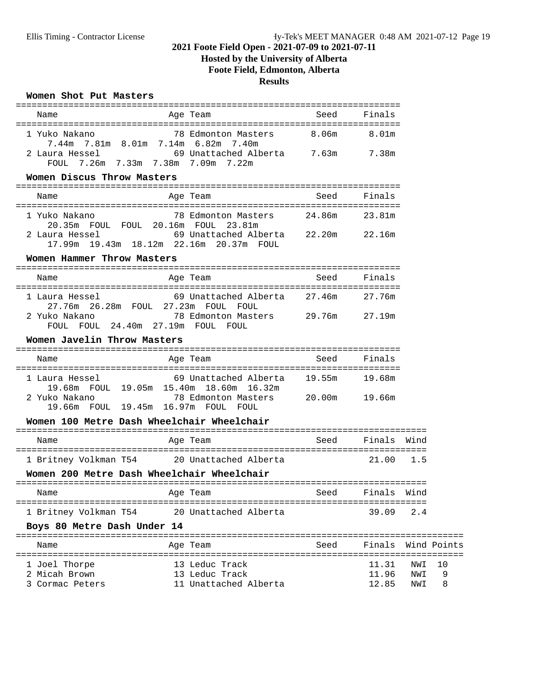# **Hosted by the University of Alberta**

**Foote Field, Edmonton, Alberta**

**Results**

### **Women Shot Put Masters**

| Name                                       | Age Team                                                                                            | Seed | Finals             |            |         |
|--------------------------------------------|-----------------------------------------------------------------------------------------------------|------|--------------------|------------|---------|
| 1 Yuko Nakano                              | 78 Edmonton Masters 8.06m<br>7.44m 7.81m 8.01m 7.14m 6.82m 7.40m                                    |      | 8.01m              |            |         |
| FOUL 7.26m 7.33m 7.38m 7.09m 7.22m         | 2 Laura Hessel 69 Unattached Alberta 7.63m 7.38m                                                    |      |                    |            |         |
| Women Discus Throw Masters                 |                                                                                                     |      |                    |            |         |
| Name                                       | Age Team                                                                                            | Seed | Finals             |            |         |
|                                            | 1 Yuko Nakano               78 Edmonton Masters       24.86m<br>20.35m FOUL FOUL 20.16m FOUL 23.81m |      | 23.81m             |            |         |
|                                            | 2 Laura Hessel 69 Unattached Alberta 22.20m 22.16m<br>17.99m  19.43m  18.12m  22.16m  20.37m  FOUL  |      |                    |            |         |
| Women Hammer Throw Masters                 |                                                                                                     |      |                    |            |         |
| Name                                       | Age Team                                                                                            | Seed | Finals             |            |         |
| 1 Laura Hessel                             | 69 Unattached Alberta 27.46m 27.76m<br>27.76m  26.28m  FOUL  27.23m  FOUL  FOUL                     |      |                    |            |         |
| FOUL FOUL 24.40m 27.19m FOUL FOUL          | 2 Yuko Nakano     78 Edmonton Masters   29.76m   27.19m                                             |      |                    |            |         |
| Women Javelin Throw Masters                |                                                                                                     |      |                    |            |         |
| Name                                       | Aqe Team                                                                                            |      | Seed Finals        |            |         |
| 1 Laura Hessel                             | 69 Unattached Alberta 19.55m<br>19.68m FOUL 19.05m 15.40m 18.60m 16.32m                             |      | 19.68m             |            |         |
| 2 Yuko Nakano                              | 78 Edmonton Masters 20.00m<br>19.66m FOUL 19.45m 16.97m FOUL FOUL                                   |      | 19.66m             |            |         |
| Women 100 Metre Dash Wheelchair Wheelchair |                                                                                                     |      |                    |            |         |
| Name                                       | Age Team                                                                                            | Seed | Finals Wind        |            |         |
|                                            | 1 Britney Volkman T54 20 Unattached Alberta                                                         |      | 21.00 1.5          |            |         |
| Women 200 Metre Dash Wheelchair Wheelchair |                                                                                                     |      |                    |            |         |
| Name                                       |                                                                                                     |      |                    |            |         |
| 1 Britney Volkman T54                      | 20 Unattached Alberta                                                                               |      | 39.09              | 2.4        |         |
| Boys 80 Metre Dash Under 14                |                                                                                                     |      |                    |            |         |
| Name                                       | Age Team                                                                                            | Seed | Finals Wind Points |            |         |
| 1 Joel Thorpe<br>2 Micah Brown             | 13 Leduc Track<br>13 Leduc Track                                                                    |      | 11.31<br>11.96     | NWI<br>NWI | 10<br>9 |
| 3 Cormac Peters                            | 11 Unattached Alberta                                                                               |      | 12.85              | NWI        | 8       |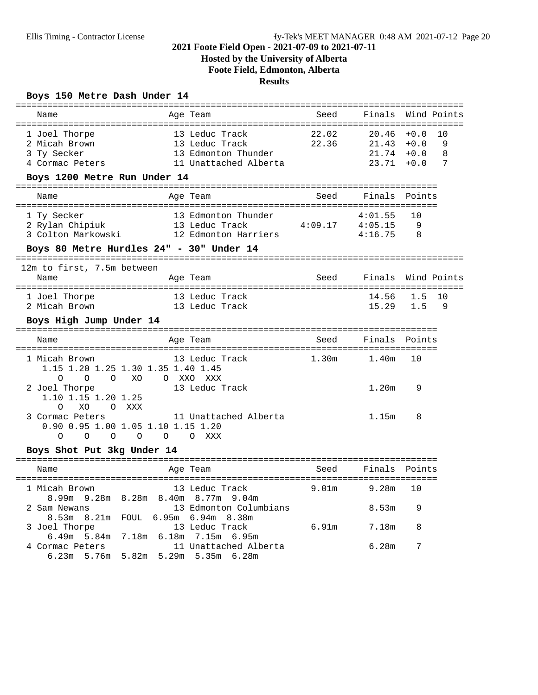# **Hosted by the University of Alberta**

**Foote Field, Edmonton, Alberta**

# **Results**

### **Boys 150 Metre Dash Under 14**

| Name                                                                                                |                | Age Team                                                                         | Seed              | Finals Wind Points               |                                      |                   |
|-----------------------------------------------------------------------------------------------------|----------------|----------------------------------------------------------------------------------|-------------------|----------------------------------|--------------------------------------|-------------------|
| 1 Joel Thorpe<br>2 Micah Brown<br>3 Ty Secker<br>4 Cormac Peters<br>Boys 1200 Metre Run Under 14    |                | 13 Leduc Track<br>13 Leduc Track<br>13 Edmonton Thunder<br>11 Unattached Alberta | 22.02<br>22.36    | 20.46<br>21.43<br>21.74<br>23.71 | $+0.0$<br>$+0.0$<br>$+0.0$<br>$+0.0$ | 10<br>9<br>8<br>7 |
| Name                                                                                                |                | Age Team                                                                         | Seed              | Finals                           | Points                               |                   |
| 1 Ty Secker<br>2 Rylan Chipiuk<br>3 Colton Markowski                                                |                | 13 Edmonton Thunder<br>13 Leduc Track<br>12 Edmonton Harriers                    | 4:09.17           | 4:01.55<br>4:05.15<br>4:16.75    | 10<br>9<br>8                         |                   |
| Boys 80 Metre Hurdles 24" - 30" Under 14                                                            |                |                                                                                  |                   |                                  |                                      |                   |
| 12m to first, 7.5m between<br>Name                                                                  |                | Age Team                                                                         | Seed              | Finals                           |                                      | Wind Points       |
| 1 Joel Thorpe<br>2 Micah Brown                                                                      |                | 13 Leduc Track<br>13 Leduc Track                                                 |                   | 14.56<br>15.29                   | 1.5<br>1.5                           | 10<br>9           |
| Boys High Jump Under 14                                                                             |                |                                                                                  |                   |                                  |                                      |                   |
| Name                                                                                                |                | Age Team                                                                         | Seed              | Finals Points                    |                                      |                   |
| 1 Micah Brown<br>1.15 1.20 1.25 1.30 1.35 1.40 1.45<br>$\circ$<br>$\circ$<br>O XO                   |                | 13 Leduc Track<br>O XXO XXX                                                      | 1.30m             | 1.40m                            | 10                                   |                   |
| 2 Joel Thorpe<br>1.10 1.15 1.20 1.25<br>O XXX<br>$\Omega$<br>XO                                     |                | 13 Leduc Track                                                                   |                   | 1.20 <sub>m</sub>                | 9                                    |                   |
| 3 Cormac Peters<br>0.90 0.95 1.00 1.05 1.10 1.15 1.20<br>$\Omega$<br>$\circ$<br>$\circ$<br>$\Omega$ | $\overline{O}$ | 11 Unattached Alberta<br>O XXX                                                   |                   | 1.15m                            | 8                                    |                   |
| Boys Shot Put 3kg Under 14                                                                          |                |                                                                                  |                   |                                  |                                      |                   |
| Name                                                                                                |                | Age Team                                                                         | Seed              | Finals Points                    |                                      |                   |
| 1 Micah Brown<br>8.99m 9.28m 8.28m 8.40m 8.77m 9.04m                                                |                | 13 Leduc Track                                                                   | 9.01 <sub>m</sub> | 9.28m                            | 10                                   |                   |
| 2 Sam Newans<br>8.53m 8.21m FOUL 6.95m 6.94m 8.38m                                                  |                | 13 Edmonton Columbians                                                           |                   | 8.53m                            | 9                                    |                   |
| 3 Joel Thorpe<br>$6.40$ m $5.94$ m $7.10$ m $6.10$ m $7.15$ m $6.05$ m                              |                | 13 Leduc Track                                                                   | 6.91m             | 7.18m                            | 8                                    |                   |

| 4 Cormac Peters                     |  | 11 Unattached Alberta | 6.28m |  |
|-------------------------------------|--|-----------------------|-------|--|
| 6.23m 5.76m 5.82m 5.29m 5.35m 6.28m |  |                       |       |  |

6.49m 5.84m 7.18m 6.18m 7.15m 6.95m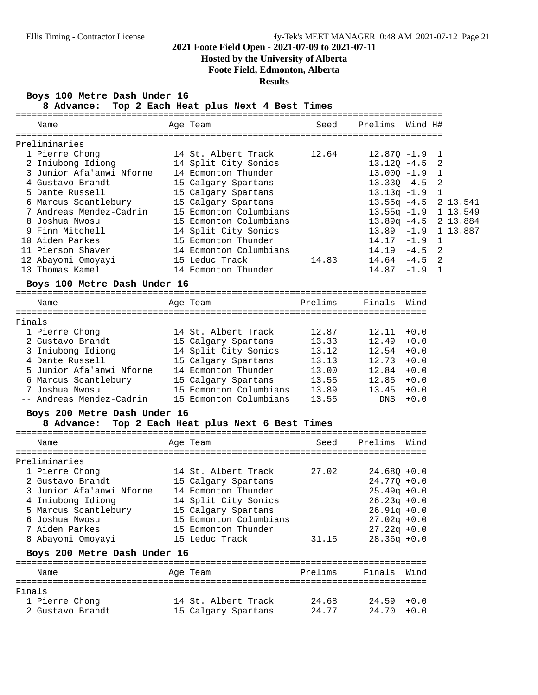# **Hosted by the University of Alberta**

**Foote Field, Edmonton, Alberta**

**Results**

### **Boys 100 Metre Dash Under 16**

**8 Advance: Top 2 Each Heat plus Next 4 Best Times**

|        | Name                                              | Age Team                                                                                               |         | Seed Prelims Wind H#                                                                           |        |                |          |
|--------|---------------------------------------------------|--------------------------------------------------------------------------------------------------------|---------|------------------------------------------------------------------------------------------------|--------|----------------|----------|
|        |                                                   |                                                                                                        |         |                                                                                                |        |                |          |
|        | Preliminaries<br>1 Pierre Chong                   | 14 St. Albert Track                                                                                    | 12.64   | $12.87Q - 1.9$                                                                                 |        | 1              |          |
|        | 2 Iniubong Idiong                                 | 14 Split City Sonics                                                                                   |         | $13.12Q - 4.5$                                                                                 |        | 2              |          |
|        | 3 Junior Afa'anwi Nforne                          | 14 Edmonton Thunder                                                                                    |         | $13.00Q - 1.9$                                                                                 |        | $\mathbf{1}$   |          |
|        | 4 Gustavo Brandt                                  | 15 Calgary Spartans                                                                                    |         | $13.33Q - 4.5$                                                                                 |        | $\overline{2}$ |          |
|        | 5 Dante Russell                                   | 15 Calgary Spartans                                                                                    |         | $13.13q - 1.9$ 1                                                                               |        |                |          |
|        | 6 Marcus Scantlebury                              | 15 Calgary Spartans                                                                                    |         | 13.55q -4.5 2 13.541                                                                           |        |                |          |
|        | 7 Andreas Mendez-Cadrin                           | 15 Edmonton Columbians                                                                                 |         | 13.55q -1.9 1 13.549                                                                           |        |                |          |
|        | 8 Joshua Nwosu                                    | 15 Edmonton Columbians                                                                                 |         | 13.89q -4.5 2 13.884                                                                           |        |                |          |
|        | 9 Finn Mitchell                                   | 14 Split City Sonics                                                                                   |         | $13.89 - 1.9$                                                                                  |        |                | 1 13.887 |
|        | 10 Aiden Parkes                                   | 15 Edmonton Thunder                                                                                    |         | $14.17 - 1.9$                                                                                  |        | <sup>1</sup>   |          |
|        | 11 Pierson Shaver                                 | 14 Edmonton Columbians                                                                                 |         | $14.19 - 4.5$ 2                                                                                |        |                |          |
|        | 12 Abayomi Omoyayi                                | 15 Leduc Track                                                                                         | 14.83   | $14.64 - 4.5$ 2                                                                                |        |                |          |
|        | 13 Thomas Kamel                                   | 14 Edmonton Thunder                                                                                    |         | $14.87 - 1.9$ 1                                                                                |        |                |          |
|        |                                                   |                                                                                                        |         |                                                                                                |        |                |          |
|        | Boys 100 Metre Dash Under 16                      |                                                                                                        |         |                                                                                                |        |                |          |
|        | Name                                              | Age Team <b>Brelims</b> Finals Wind                                                                    |         |                                                                                                |        |                |          |
| Finals |                                                   |                                                                                                        |         |                                                                                                |        |                |          |
|        | 1 Pierre Chong                                    | 14 St. Albert Track                                                                                    | 12.87   | $12.11 + 0.0$                                                                                  |        |                |          |
|        | 2 Gustavo Brandt                                  | 15 Calgary Spartans                                                                                    | 13.33   | $12.49 + 0.0$                                                                                  |        |                |          |
|        | 3 Iniubong Idiong                                 | 14 Split City Sonics                                                                                   |         | $13.12$ $12.54$ $+0.0$                                                                         |        |                |          |
|        | 4 Dante Russell                                   | 15 Calgary Spartans                                                                                    |         |                                                                                                |        |                |          |
|        | 5 Junior Afa'anwi Nforne                          | $\begin{array}{cc}\n & \text{open} \text{ans} \\ 14 \text{ Edmonton}} \\ 15 \text{ Ca}^3\n\end{array}$ |         | $\begin{array}{cccc} 13.13 & \quad & 12.73 & +0.0 \\ 13.00 & \quad & 12.84 & +0.0 \end{array}$ |        |                |          |
|        | 6 Marcus Scantlebury                              | 15 Calgary Spartans                                                                                    | 13.55   | $12.85 + 0.0$                                                                                  |        |                |          |
|        | 7 Joshua Nwosu                                    | 15 Edmonton Columbians                                                                                 | 13.89   | $13.45 + 0.0$                                                                                  |        |                |          |
|        | -- Andreas Mendez-Cadrin                          | 15 Edmonton Columbians                                                                                 |         | 13.55 DNS                                                                                      | $+0.0$ |                |          |
|        | Boys 200 Metre Dash Under 16                      |                                                                                                        |         |                                                                                                |        |                |          |
|        | 8 Advance: Top 2 Each Heat plus Next 6 Best Times |                                                                                                        |         |                                                                                                |        |                |          |
|        | Name                                              | Age Team                                                                                               | Seed    | Prelims Wind                                                                                   |        |                |          |
|        | Preliminaries                                     |                                                                                                        |         |                                                                                                |        |                |          |
|        | 1 Pierre Chong                                    | 14 St. Albert Track<br>15 Calgary Spartans                                                             | 27.02   | $24.68Q + 0.0$                                                                                 |        |                |          |
|        | 2 Gustavo Brandt                                  |                                                                                                        |         | $24.770 + 0.0$                                                                                 |        |                |          |
|        | 3 Junior Afa'anwi Nforne 14 Edmonton Thunder      |                                                                                                        |         | $25.49q + 0.0$                                                                                 |        |                |          |
|        | 4 Iniubong Idiong                                 | 14 Split City Sonics                                                                                   |         | $26.23q + 0.0$                                                                                 |        |                |          |
|        | 5 Marcus Scantlebury                              | 15 Calgary Spartans                                                                                    |         | $26.91q + 0.0$                                                                                 |        |                |          |
|        | 6 Joshua Nwosu                                    | 15 Edmonton Columbians                                                                                 |         | $27.02q + 0.0$                                                                                 |        |                |          |
|        | 7 Aiden Parkes                                    | 15 Edmonton Thunder                                                                                    |         | $27.22q + 0.0$                                                                                 |        |                |          |
|        | 8 Abayomi Omoyayi                                 | 15 Leduc Track                                                                                         | 31.15   | $28.36q + 0.0$                                                                                 |        |                |          |
|        | Boys 200 Metre Dash Under 16                      |                                                                                                        |         |                                                                                                |        |                |          |
|        | Name                                              | Age Team                                                                                               | Prelims | Finals Wind                                                                                    |        |                |          |
| Finals |                                                   |                                                                                                        |         |                                                                                                |        |                |          |
|        | 1 Pierre Chong                                    | 14 St. Albert Track                                                                                    | 24.68   | 24.59                                                                                          | $+0.0$ |                |          |
|        | 2 Gustavo Brandt                                  | 15 Calgary Spartans                                                                                    | 24.77   | 24.70                                                                                          | $+0.0$ |                |          |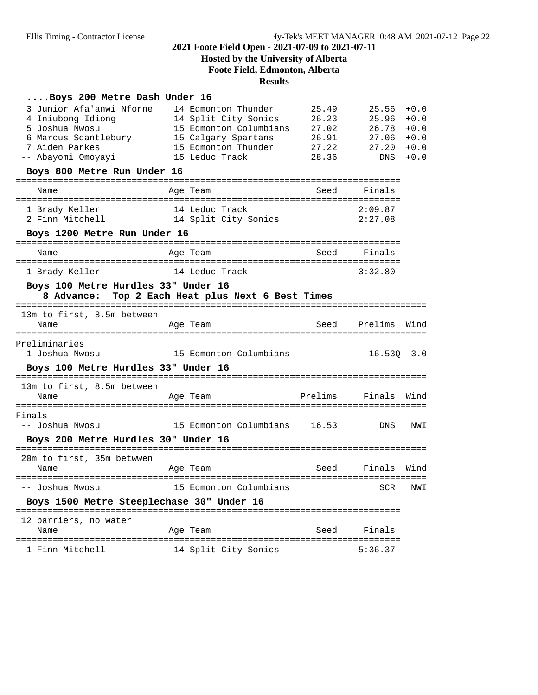# **Hosted by the University of Alberta Foote Field, Edmonton, Alberta Results**

### **....Boys 200 Metre Dash Under 16**

| 3 Junior Afa'anwi Nforne<br>4 Iniubong Idiong<br>5 Joshua Nwosu<br>6 Marcus Scantlebury<br>7 Aiden Parkes<br>-- Abayomi Omoyayi | 14 Edmonton Thunder<br>14 Split City Sonics<br>15 Edmonton Columbians<br>15 Calgary Spartans<br>15 Edmonton Thunder<br>15 Leduc Track | 25.49<br>26.23<br>27.02<br>26.91<br>27.22<br>28.36 | 25.56<br>25.96<br>26.78<br>27.06<br>27.20<br>DNS | $+0.0$<br>$+0.0$<br>$+0.0$<br>$+0.0$<br>$+0.0$<br>$+0.0$ |
|---------------------------------------------------------------------------------------------------------------------------------|---------------------------------------------------------------------------------------------------------------------------------------|----------------------------------------------------|--------------------------------------------------|----------------------------------------------------------|
| Boys 800 Metre Run Under 16                                                                                                     |                                                                                                                                       |                                                    |                                                  |                                                          |
| Name                                                                                                                            | Age Team                                                                                                                              | Seed                                               | Finals                                           |                                                          |
| 1 Brady Keller<br>2 Finn Mitchell                                                                                               | 14 Leduc Track<br>14 Split City Sonics                                                                                                |                                                    | 2:09.87<br>2:27.08                               |                                                          |
| Boys 1200 Metre Run Under 16                                                                                                    |                                                                                                                                       |                                                    |                                                  |                                                          |
| Name                                                                                                                            | Age Team                                                                                                                              | Seed                                               | Finals                                           |                                                          |
| 1 Brady Keller                                                                                                                  | 14 Leduc Track                                                                                                                        |                                                    | 3:32.80                                          |                                                          |
| Boys 100 Metre Hurdles 33" Under 16                                                                                             | 8 Advance: Top 2 Each Heat plus Next 6 Best Times                                                                                     |                                                    |                                                  |                                                          |
|                                                                                                                                 |                                                                                                                                       |                                                    |                                                  |                                                          |
| 13m to first, 8.5m between<br>Name                                                                                              | Age Team                                                                                                                              | Seed                                               | Prelims<br>===========================           | Wind                                                     |
| Preliminaries<br>1 Joshua Nwosu                                                                                                 | 15 Edmonton Columbians                                                                                                                |                                                    | 16.530                                           | 3.0                                                      |
| Boys 100 Metre Hurdles 33" Under 16                                                                                             |                                                                                                                                       |                                                    |                                                  |                                                          |
| 13m to first, 8.5m between<br>Name                                                                                              | Age Team                                                                                                                              | Prelims                                            | Finals<br>:===========================           | Wind                                                     |
| Finals<br>-- Joshua Nwosu                                                                                                       | 15 Edmonton Columbians                                                                                                                | 16.53                                              | <b>DNS</b>                                       | NWI                                                      |
| Boys 200 Metre Hurdles 30" Under 16                                                                                             |                                                                                                                                       |                                                    |                                                  |                                                          |
| 20m to first, 35m betwwen<br>Name                                                                                               | Age Team                                                                                                                              | Seed                                               | Finals                                           | Wind                                                     |
| -- Joshua Nwosu                                                                                                                 | 15 Edmonton Columbians                                                                                                                |                                                    | SCR                                              | NWI                                                      |
| Boys 1500 Metre Steeplechase 30" Under 16                                                                                       |                                                                                                                                       |                                                    |                                                  |                                                          |
| 12 barriers, no water<br>Name                                                                                                   | Age Team                                                                                                                              | Seed                                               | Finals                                           |                                                          |
| 1 Finn Mitchell                                                                                                                 | 14 Split City Sonics                                                                                                                  |                                                    | 5:36.37                                          |                                                          |
|                                                                                                                                 |                                                                                                                                       |                                                    |                                                  |                                                          |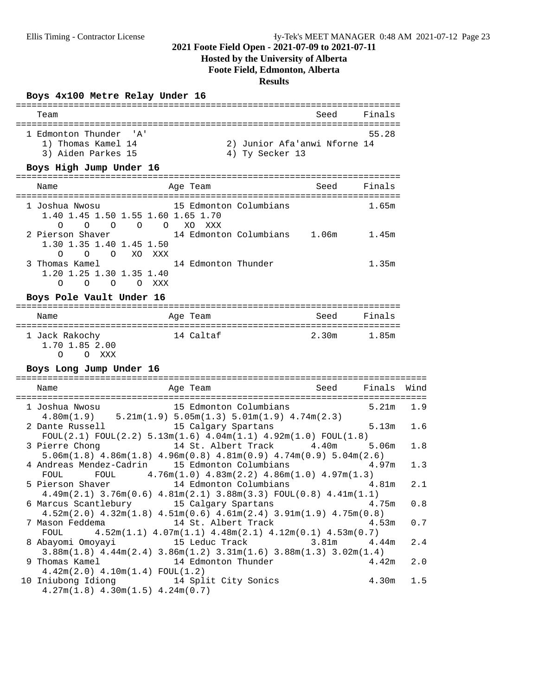# **Hosted by the University of Alberta**

**Foote Field, Edmonton, Alberta**

# **Results**

### **Boys 4x100 Metre Relay Under 16**

| Team                   |                              | Seed | Finals |
|------------------------|------------------------------|------|--------|
| 1 Edmonton Thunder 'A' |                              |      | 55.28  |
| 1) Thomas Kamel 14     | 2) Junior Afa'anwi Nforne 14 |      |        |
| 3) Aiden Parkes 15     | 4) Ty Secker 13              |      |        |

### **Boys High Jump Under 16**

| Name                                                                                       | Age Team                                | Seed  | Finals |
|--------------------------------------------------------------------------------------------|-----------------------------------------|-------|--------|
| 1 Joshua Nwosu<br>1.40 1.45 1.50 1.55 1.60 1.65 1.70<br>$\bigcirc$<br>$\Omega$<br>$\Omega$ | 15 Edmonton Columbians<br>O O XO<br>xxx |       | 1.65m  |
| 2 Pierson Shaver<br>1.30 1.35 1.40 1.45 1.50<br>OOXOXXX<br>$\Omega$                        | 14 Edmonton Columbians                  | 1.06m | 1.45m  |
| 3 Thomas Kamel<br>1.20 1.25 1.30 1.35 1.40<br>Ω<br>∩<br>∩                                  | 14 Edmonton Thunder<br>xxx              |       | 1.35m  |

### **Boys Pole Vault Under 16**

| Name                                         | Age Team  | Seed  | Finals |
|----------------------------------------------|-----------|-------|--------|
| 1 Jack Rakochy<br>1.70 1.85 2.00<br>XXX<br>O | 14 Caltaf | 2.30m | 1.85m  |

### **Boys Long Jump Under 16**

| Name<br>Age Team<br>==================================                                                                                                                    | Seed Finals Wind |       |       |     |
|---------------------------------------------------------------------------------------------------------------------------------------------------------------------------|------------------|-------|-------|-----|
| 1 Joshua Nwosu 15 Edmonton Columbians<br>$4.80\text{m}(1.9)$ $5.21\text{m}(1.9)$ $5.05\text{m}(1.3)$ $5.01\text{m}(1.9)$ $4.74\text{m}(2.3)$                              |                  | 5.21m |       | 1.9 |
| 2 Dante Russell 15 Calgary Spartans<br>FOUL(2.1) FOUL(2.2) $5.13$ m(1.6) $4.04$ m(1.1) $4.92$ m(1.0) FOUL(1.8)                                                            |                  | 5.13m |       | 1.6 |
| 3 Pierre Chong 14 St. Albert Track 4.40m 5.06m<br>$5.06m(1.8)$ $4.86m(1.8)$ $4.96m(0.8)$ $4.81m(0.9)$ $4.74m(0.9)$ $5.04m(2.6)$                                           |                  |       |       | 1.8 |
| 4 Andreas Mendez-Cadrin 15 Edmonton Columbians 4.97m<br>FOUL FOUL $4.76m(1.0)$ $4.83m(2.2)$ $4.86m(1.0)$ $4.97m(1.3)$                                                     |                  |       |       | 1.3 |
| 5 Pierson Shaver 14 Edmonton Columbians 4.81m<br>$4.49$ m $(2.1)$ 3.76m $(0.6)$ $4.81$ m $(2.1)$ 3.88m $(3.3)$ FOUL $(0.8)$ $4.41$ m $(1.1)$                              |                  |       |       | 2.1 |
| 6 Marcus Scantlebury 15 Calgary Spartans 4.75m<br>$4.52\text{m}(2.0)$ $4.32\text{m}(1.8)$ $4.51\text{m}(0.6)$ $4.61\text{m}(2.4)$ $3.91\text{m}(1.9)$ $4.75\text{m}(0.8)$ |                  |       |       | 0.8 |
| 7 Mason Feddema 14 St. Albert Track 4.53m<br>FOUL $4.52m(1.1)$ $4.07m(1.1)$ $4.48m(2.1)$ $4.12m(0.1)$ $4.53m(0.7)$                                                        |                  |       |       | 0.7 |
| 8 Abayomi Omoyayi 15 Leduc Track 3.81m 4.44m<br>$3.88$ m $(1.8)$ $4.44$ m $(2.4)$ $3.86$ m $(1.2)$ $3.31$ m $(1.6)$ $3.88$ m $(1.3)$ $3.02$ m $(1.4)$                     |                  |       |       | 2.4 |
| $4.42m(2.0)$ $4.10m(1.4)$ FOUL $(1.2)$                                                                                                                                    |                  |       | 4.42m | 2.0 |
| 10 Iniubong Idiong 14 Split City Sonics<br>$4.27m(1.8)$ $4.30m(1.5)$ $4.24m(0.7)$                                                                                         |                  |       | 4.30m | 1.5 |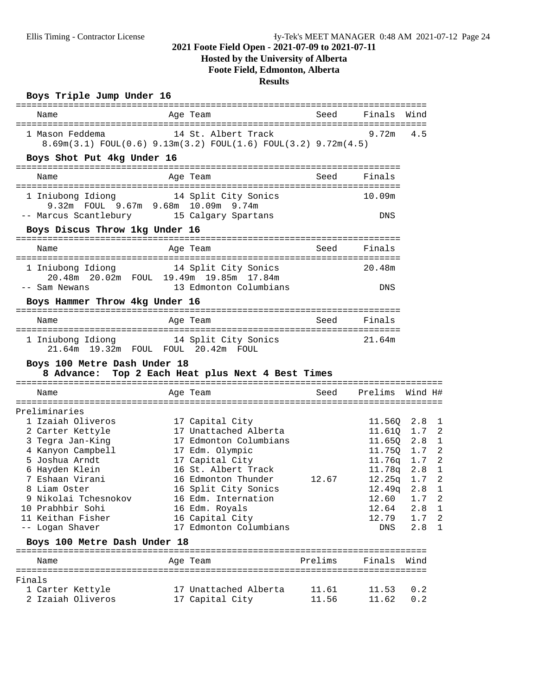# **Hosted by the University of Alberta Foote Field, Edmonton, Alberta**

### **Results**

### **Boys Triple Jump Under 16**

| Name                                                                          | Age Team                                                                                             | seed Seed and Seed and Seed and Seed and Seed and Security Articles and Security Articles and Security Article | Finals          | Wind                           |
|-------------------------------------------------------------------------------|------------------------------------------------------------------------------------------------------|----------------------------------------------------------------------------------------------------------------|-----------------|--------------------------------|
| 1 Mason Feddema                                                               | 14 St. Albert Track<br>$8.69m(3.1)$ FOUL $(0.6)$ $9.13m(3.2)$ FOUL $(1.6)$ FOUL $(3.2)$ $9.72m(4.5)$ |                                                                                                                | 9.72m           | 4.5                            |
| Boys Shot Put 4kg Under 16                                                    |                                                                                                      |                                                                                                                |                 |                                |
| Name                                                                          | Age Team                                                                                             | Seed                                                                                                           | Finals          |                                |
| 1 Iniubong Idiong 14 Split City Sonics<br>9.32m FOUL 9.67m 9.68m 10.09m 9.74m |                                                                                                      |                                                                                                                | 10.09m          |                                |
| -- Marcus Scantlebury 15 Calgary Spartans<br>Boys Discus Throw 1kg Under 16   |                                                                                                      |                                                                                                                | DNS             |                                |
| Name                                                                          | Age Team                                                                                             | Seed                                                                                                           | Finals          |                                |
| 1 Iniubong Idiong 14 Split City Sonics                                        | 20.48m  20.02m  FOUL  19.49m  19.85m  17.84m                                                         |                                                                                                                | 20.48m          |                                |
| -- Sam Newans<br>Boys Hammer Throw 4kg Under 16                               | 13 Edmonton Columbians                                                                               |                                                                                                                | DNS             |                                |
|                                                                               |                                                                                                      |                                                                                                                |                 |                                |
| Name                                                                          | Age Team                                                                                             | Seed                                                                                                           | Finals          |                                |
| 1 Iniubong Idiong 14 Split City Sonics<br>21.64m 19.32m FOUL FOUL 20.42m FOUL |                                                                                                      |                                                                                                                | 21.64m          |                                |
| Boys 100 Metre Dash Under 18                                                  | 8 Advance: Top 2 Each Heat plus Next 4 Best Times                                                    |                                                                                                                |                 |                                |
| Name                                                                          | Age Team                                                                                             | Seed                                                                                                           | Prelims Wind H# |                                |
| Preliminaries                                                                 |                                                                                                      |                                                                                                                |                 |                                |
| 1 Izaiah Oliveros                                                             | 17 Capital City                                                                                      |                                                                                                                | 11.56Q          | 2.8<br>1                       |
| 2 Carter Kettyle                                                              | 17 Unattached Alberta                                                                                |                                                                                                                | 11.610          | $\overline{2}$<br>1.7          |
| 3 Tegra Jan-King                                                              | 17 Edmonton Columbians                                                                               |                                                                                                                | 11.65Q          | $\mathbf 1$<br>2.8             |
| 4 Kanyon Campbell                                                             | 17 Edm. Olympic                                                                                      |                                                                                                                | 11.75Q          | $\overline{2}$<br>1.7          |
| 5 Joshua Arndt                                                                | 17 Capital City                                                                                      |                                                                                                                | 11.76q          | $\overline{2}$<br>1.7          |
| 6 Hayden Klein                                                                | 16 St. Albert Track                                                                                  |                                                                                                                | 11.78q          | $\mathbf{1}$<br>2.8            |
| 7 Eshaan Virani                                                               | 16 Edmonton Thunder                                                                                  | 12.67                                                                                                          | 12.25q          | $\overline{2}$<br>1.7          |
| 8 Liam Oster                                                                  | 16 Split City Sonics                                                                                 |                                                                                                                | 12.49q          | 2.8<br>1                       |
| 9 Nikolai Tchesnokov                                                          | 16 Edm. Internation                                                                                  |                                                                                                                | 12.60           | 1.7<br>$\overline{\mathbf{c}}$ |
| 10 Prabhbir Sohi                                                              | 16 Edm. Royals                                                                                       |                                                                                                                | 12.64           | 2.8<br>ı                       |
| 11 Keithan Fisher                                                             | 16 Capital City                                                                                      |                                                                                                                | 12.79           | 1.7<br>2                       |
| -- Logan Shaver                                                               | 17 Edmonton Columbians                                                                               |                                                                                                                | DNS             | 2.8<br>1                       |
| Boys 100 Metre Dash Under 18                                                  |                                                                                                      |                                                                                                                |                 |                                |
| Name                                                                          | Age Team                                                                                             | Prelims                                                                                                        | Finals          | Wind                           |
| Finals                                                                        |                                                                                                      |                                                                                                                |                 |                                |
| 1 Carter Kettyle                                                              | 17 Unattached Alberta                                                                                | 11.61                                                                                                          | 11.53           | 0.2                            |
|                                                                               | 17 Capital City                                                                                      | 11.56                                                                                                          | 11.62           | 0.2                            |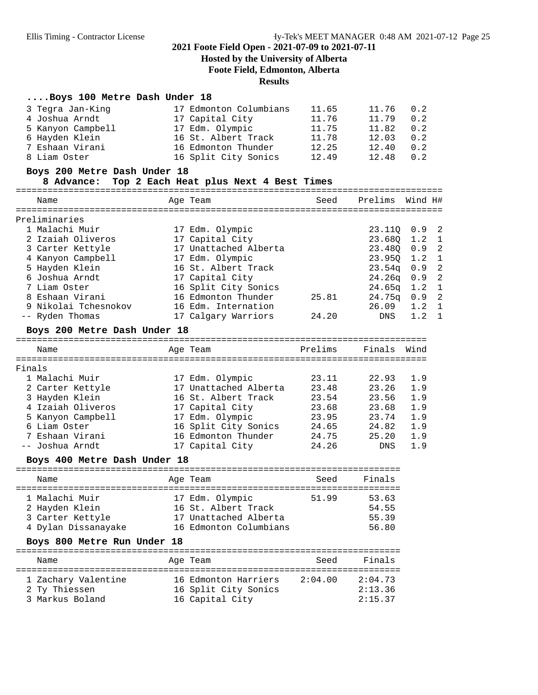# **Hosted by the University of Alberta Foote Field, Edmonton, Alberta Results**

| Boys 100 Metre Dash Under 18               |                                        |         |                                                                |                       |
|--------------------------------------------|----------------------------------------|---------|----------------------------------------------------------------|-----------------------|
| 3 Tegra Jan-King                           | 17 Edmonton Columbians                 | 11.65   | 11.76                                                          | 0.2                   |
| 4 Joshua Arndt                             | 17 Capital City                        | 11.76   | 11.79                                                          | 0.2                   |
| 5 Kanyon Campbell                          | 17 Edm. Olympic                        | 11.75   | 11.82                                                          | 0.2                   |
| 6 Hayden Klein                             | 16 St. Albert Track                    | 11.78   | 12.03                                                          | 0.2                   |
| 7 Eshaan Virani                            | 16 Edmonton Thunder                    | 12.25   | 12.40                                                          | 0.2                   |
| 8 Liam Oster                               | 16 Split City Sonics                   | 12.49   | 12.48                                                          | 0.2                   |
|                                            |                                        |         |                                                                |                       |
| Boys 200 Metre Dash Under 18<br>8 Advance: | Top 2 Each Heat plus Next 4 Best Times |         |                                                                |                       |
| Name                                       | Age Team                               | Seed    | Prelims                                                        | Wind H#               |
|                                            |                                        |         |                                                                |                       |
| Preliminaries                              |                                        |         |                                                                |                       |
| 1 Malachi Muir                             | 17 Edm. Olympic                        |         | 23.110                                                         | $\overline{2}$<br>0.9 |
| 2 Izaiah Oliveros                          | 17 Capital City                        |         | 23.68Q                                                         | $1.2 \quad 1$         |
| 3 Carter Kettyle                           | 17 Unattached Alberta                  |         | 23.48Q                                                         | $\overline{2}$<br>0.9 |
| 4 Kanyon Campbell                          | 17 Edm. Olympic                        |         | 23.950                                                         | 1.2<br>$\mathbf{1}$   |
| 5 Hayden Klein                             | 16 St. Albert Track                    |         | 23.54q                                                         | $\overline{2}$<br>0.9 |
| 6 Joshua Arndt                             | 17 Capital City                        |         | 24.26q                                                         | $\overline{2}$<br>0.9 |
| 7 Liam Oster                               | 16 Split City Sonics                   |         | 24.65q                                                         | $\mathbf{1}$<br>1.2   |
| 8 Eshaan Virani                            | 16 Edmonton Thunder                    | 25.81   | 24.75 <sub>q</sub>                                             | $\overline{2}$<br>0.9 |
| 9 Nikolai Tchesnokov                       | 16 Edm. Internation                    |         | 26.09                                                          | 1.2<br>1              |
| -- Ryden Thomas                            | 17 Calgary Warriors                    | 24.20   | DNS                                                            | 1.2<br>$\mathbf 1$    |
| Boys 200 Metre Dash Under 18               |                                        |         |                                                                |                       |
|                                            |                                        |         |                                                                |                       |
| Name                                       | Age Team                               | Prelims | Finals Wind                                                    |                       |
| Finals                                     |                                        |         |                                                                |                       |
| 1 Malachi Muir                             | 17 Edm. Olympic                        | 23.11   | 22.93                                                          | 1.9                   |
| 2 Carter Kettyle                           | 17 Unattached Alberta                  | 23.48   | 23.26                                                          | 1.9                   |
| 3 Hayden Klein                             | 16 St. Albert Track                    | 23.54   | 23.56                                                          | 1.9                   |
| 4 Izaiah Oliveros                          | 17 Capital City                        | 23.68   | 23.68                                                          | 1.9                   |
| 5 Kanyon Campbell                          | 17 Edm. Olympic                        | 23.95   | 23.74                                                          | 1.9                   |
| 6 Liam Oster                               | 16 Split City Sonics                   | 24.65   | 24.82                                                          | 1.9                   |
|                                            | 16 Edmonton Thunder                    |         |                                                                |                       |
| 7 Eshaan Virani                            |                                        | 24.75   | 25.20                                                          | 1.9                   |
| -- Joshua Arndt                            | 17 Capital City                        | 24.26   | DNS                                                            | 1.9                   |
| Boys 400 Metre Dash Under 18               |                                        |         |                                                                |                       |
| Name                                       | Age Team                               | Seed    | Finals                                                         |                       |
| $1 - M - 1 - M - 1 - M - 2 - 1$            | $17.71$ $011$                          |         | $\Gamma$ $\Gamma$ $\Gamma$ $\Gamma$ $\Gamma$ $\Gamma$ $\Gamma$ |                       |

| 1 Malachi Muir      | 17 Edm. Olympic        | 51.99 | 53.63 |
|---------------------|------------------------|-------|-------|
| 2 Hayden Klein      | 16 St. Albert Track    |       | 54.55 |
| 3 Carter Kettyle    | 17 Unattached Alberta  |       | 55.39 |
| 4 Dylan Dissanayake | 16 Edmonton Columbians |       | 56.80 |
|                     |                        |       |       |

# **Boys 800 Metre Run Under 18**

| Name                                                    | Age Team                                                        | Seed    | Finals                        |
|---------------------------------------------------------|-----------------------------------------------------------------|---------|-------------------------------|
| 1 Zachary Valentine<br>2 Ty Thiessen<br>3 Markus Boland | 16 Edmonton Harriers<br>16 Split City Sonics<br>16 Capital City | 2:04.00 | 2:04.73<br>2:13.36<br>2:15.37 |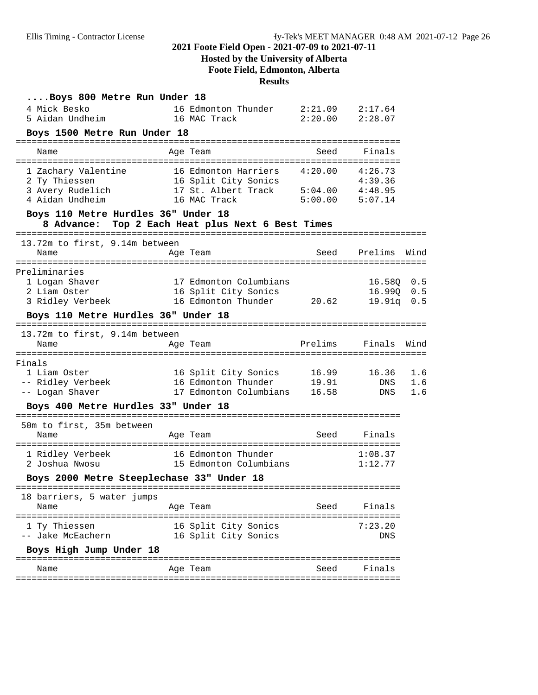# **Hosted by the University of Alberta**

**Foote Field, Edmonton, Alberta**

# **Results**

| Boys 800 Metre Run Under 18                                         |                                                                       |                    |                            |                   |
|---------------------------------------------------------------------|-----------------------------------------------------------------------|--------------------|----------------------------|-------------------|
| 4 Mick Besko<br>5 Aidan Undheim                                     | 16 Edmonton Thunder<br>16 MAC Track                                   | 2:21.09<br>2:20.00 | 2:17.64<br>2:28.07         |                   |
| Boys 1500 Metre Run Under 18                                        |                                                                       |                    |                            |                   |
| Name                                                                | Age Team                                                              | Seed               | Finals                     |                   |
| 1 Zachary Valentine<br>2 Ty Thiessen                                | 16 Edmonton Harriers<br>16 Split City Sonics                          | 4:20.00            | 4:26.73<br>4:39.36         |                   |
| 3 Avery Rudelich<br>4 Aidan Undheim                                 | 17 St. Albert Track<br>16 MAC Track                                   | 5:04.00<br>5:00.00 | 4:48.95<br>5:07.14         |                   |
| Boys 110 Metre Hurdles 36" Under 18<br>8 Advance:                   | Top 2 Each Heat plus Next 6 Best Times                                |                    |                            |                   |
| 13.72m to first, 9.14m between                                      |                                                                       |                    |                            |                   |
| Name                                                                | Age Team                                                              | Seed               | Prelims                    | Wind              |
| Preliminaries<br>1 Logan Shaver<br>2 Liam Oster<br>3 Ridley Verbeek | 17 Edmonton Columbians<br>16 Split City Sonics<br>16 Edmonton Thunder | 20.62              | 16.580<br>16.99Q<br>19.91q | 0.5<br>0.5<br>0.5 |
| Boys 110 Metre Hurdles 36" Under 18                                 |                                                                       |                    |                            |                   |
| 13.72m to first, 9.14m between                                      |                                                                       |                    |                            |                   |
| Name                                                                | Age Team                                                              | Prelims            | Finals                     | Wind              |
| Finals                                                              |                                                                       |                    |                            |                   |
| 1 Liam Oster                                                        | 16 Split City Sonics                                                  | 16.99              | 16.36                      | 1.6               |
| -- Ridley Verbeek<br>-- Logan Shaver                                | 16 Edmonton Thunder<br>17 Edmonton Columbians                         | 19.91<br>16.58     | DNS<br>DNS                 | 1.6<br>1.6        |
| Boys 400 Metre Hurdles 33" Under 18                                 |                                                                       |                    |                            |                   |
| 50m to first, 35m between                                           |                                                                       |                    |                            |                   |
| Name                                                                | Age Team                                                              | Seed               | Finals                     |                   |
| 1 Ridley Verbeek                                                    | 16 Edmonton Thunder                                                   |                    | 1:08.37                    |                   |
| 2 Joshua Nwosu                                                      | 15 Edmonton Columbians                                                |                    | 1:12.77                    |                   |
| Boys 2000 Metre Steeplechase 33" Under 18                           |                                                                       |                    |                            |                   |
| 18 barriers, 5 water jumps                                          |                                                                       |                    |                            |                   |
| Name                                                                | Age Team                                                              | Seed               | Finals                     |                   |
| 1 Ty Thiessen<br>-- Jake McEachern                                  | 16 Split City Sonics<br>16 Split City Sonics                          |                    | 7:23.20<br>DNS             |                   |
| Boys High Jump Under 18                                             |                                                                       |                    |                            |                   |
| Name                                                                | Age Team                                                              | Seed               | Finals                     |                   |
|                                                                     |                                                                       |                    |                            |                   |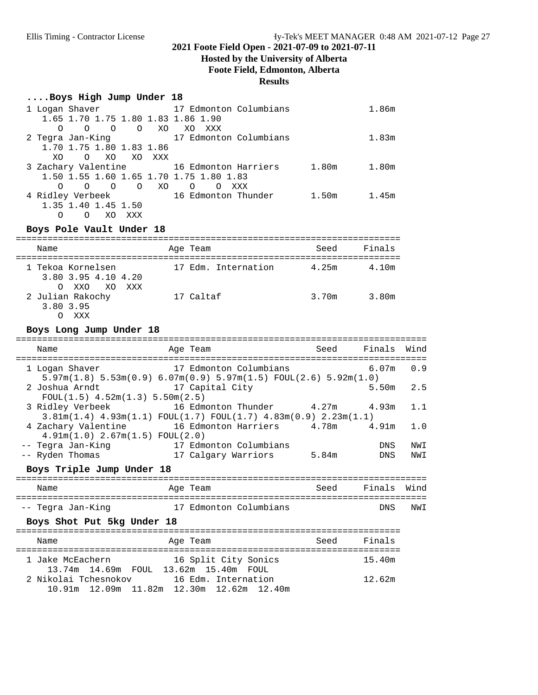### **Hosted by the University of Alberta Foote Field, Edmonton, Alberta Results**

### **....Boys High Jump Under 18**

| 1 Logan Shaver                              | 17 Edmonton Columbians       | 1.86m |
|---------------------------------------------|------------------------------|-------|
| 1.65 1.70 1.75 1.80 1.83 1.86 1.90          |                              |       |
| O XO<br>$\Omega$<br>$\Omega$<br>O           | XO<br>XXX                    |       |
| 2 Tegra Jan-King                            | 17 Edmonton Columbians       | 1.83m |
| 1.70 1.75 1.80 1.83 1.86                    |                              |       |
| XO.<br>XO XXX<br>XO<br>$\Omega$             |                              |       |
| 3 Zachary Valentine 16 Edmonton Harriers    | 1.80 <sub>m</sub>            | 1.80m |
| 1.50 1.55 1.60 1.65 1.70 1.75 1.80 1.83     |                              |       |
| $\circ$<br>XO.<br>$\Omega$<br>$\Omega$<br>O | $\Omega$<br>XXX<br>∩         |       |
| 4 Ridley Verbeek                            | 16 Edmonton Thunder<br>1.50m | 1.45m |
| 1.35 1.40 1.45 1.50                         |                              |       |
| XO<br>O<br>XXX                              |                              |       |

### **Boys Pole Vault Under 18**

| Name                                                        | Age Team            | Seed  | Finals |
|-------------------------------------------------------------|---------------------|-------|--------|
| 1 Tekoa Kornelsen<br>3.80 3.95 4.10 4.20<br>O XXO XO<br>XXX | 17 Edm. Internation | 4.25m | 4.10m  |
| 2 Julian Rakochy<br>3.80 3.95<br>XXX                        | 17 Caltaf           | 3.70m | 3.80m  |

### **Boys Long Jump Under 18**

| Name                                                                                                                            | Age Team                     | Seed Finals Wind |             |            |
|---------------------------------------------------------------------------------------------------------------------------------|------------------------------|------------------|-------------|------------|
| 1 Logan Shaver<br>$5.97m(1.8)$ $5.53m(0.9)$ $6.07m(0.9)$ $5.97m(1.5)$ $F\text{OUL}(2.6)$ $5.92m(1.0)$                           | 17 Edmonton Columbians 6.07m |                  |             | 0.9        |
| 2 Joshua Arndt 17 Capital City<br>$FOUL(1.5)$ 4.52m(1.3) 5.50m(2.5)                                                             |                              |                  | $5.50m$ 2.5 |            |
| 3 Ridley Verbeek 16 Edmonton Thunder 4.27m 4.93m<br>$3.81m(1.4)$ $4.93m(1.1)$ $FOUL(1.7)$ $FOUL(1.7)$ $4.83m(0.9)$ $2.23m(1.1)$ |                              |                  |             | 1.1        |
| 4 Zachary Valentine 16 Edmonton Harriers 4.78m 4.91m<br>$4.91m(1.0)$ $2.67m(1.5)$ $FOUL(2.0)$                                   |                              |                  |             | 1.0        |
| -- Tegra Jan-King 17 Edmonton Columbians<br>-- Ryden Thomas                                                                     | 17 Calgary Warriors          | 5.84m            | DNS<br>DNS  | NWI<br>NWI |
| Boys Triple Jump Under 18                                                                                                       |                              |                  |             |            |
| Name<br>Aqe Team                                                                                                                | Seed Finals Wind             |                  |             |            |
| -- Tegra Jan-King 17 Edmonton Columbians                                                                                        |                              |                  | DNS         | NWI        |
| Boys Shot Put 5kg Under 18                                                                                                      |                              |                  |             |            |
| Name<br>:=================                                                                                                      | Age Team                     | Seed Finals      |             |            |
| 1 Jake McEachern 16 Split City Sonics<br>13.74m  14.69m  FOUL  13.62m  15.40m  FOUL                                             |                              |                  | 15.40m      |            |
| 2 Nikolai Tchesnokov 16 Edm. Internation                                                                                        |                              |                  | 12.62m      |            |

10.91m 12.09m 11.82m 12.30m 12.62m 12.40m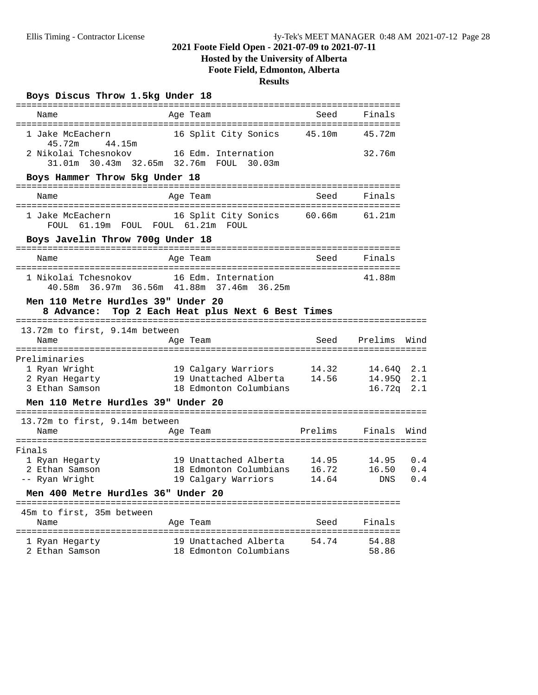# **Hosted by the University of Alberta Foote Field, Edmonton, Alberta**

# **Results**

**Boys Discus Throw 1.5kg Under 18**

| -------------------                              |                                                                               |         |            |      |
|--------------------------------------------------|-------------------------------------------------------------------------------|---------|------------|------|
| Name                                             | Age Team                                                                      | Seed    | Finals     |      |
| 1 Jake McEachern<br>44.15m<br>45.72m             | 16 Split City Sonics                                                          | 45.10m  | 45.72m     |      |
| 2 Nikolai Tchesnokov                             | 16 Edm. Internation<br>31.01m    30.43m    32.65m    32.76m    FOUL    30.03m |         | 32.76m     |      |
| Boys Hammer Throw 5kg Under 18                   |                                                                               |         |            |      |
| Name                                             | Age Team                                                                      | Seed    | Finals     |      |
| 1 Jake McEachern<br>FOUL                         | 16 Split City Sonics 60.66m<br>61.19m FOUL FOUL 61.21m FOUL                   |         | 61.21m     |      |
| Boys Javelin Throw 700g Under 18                 |                                                                               |         |            |      |
| Name                                             | Age Team                                                                      | Seed    | Finals     |      |
| 1 Nikolai Tchesnokov                             | 16 Edm. Internation<br>40.58m 36.97m 36.56m 41.88m 37.46m 36.25m              |         | 41.88m     |      |
| Men 110 Metre Hurdles 39" Under 20<br>8 Advance: | Top 2 Each Heat plus Next 6 Best Times                                        |         |            |      |
| 13.72m to first, 9.14m between<br>Name           | Age Team                                                                      | Seed    | Prelims    | Wind |
| Preliminaries                                    |                                                                               |         |            |      |
| 1 Ryan Wright                                    | 19 Calgary Warriors                                                           | 14.32   | 14.640     | 2.1  |
| 2 Ryan Hegarty                                   | 19 Unattached Alberta                                                         | 14.56   | 14.950     | 2.1  |
| 3 Ethan Samson                                   | 18 Edmonton Columbians                                                        |         | 16.72q     | 2.1  |
| Men 110 Metre Hurdles 39" Under 20               |                                                                               |         |            |      |
| 13.72m to first, 9.14m between                   |                                                                               |         |            |      |
| Name                                             | Age Team                                                                      | Prelims | Finals     | Wind |
| Finals                                           |                                                                               |         |            |      |
| 1 Ryan Hegarty                                   | 19 Unattached Alberta                                                         | 14.95   | 14.95      | 0.4  |
| 2 Ethan Samson                                   | 18 Edmonton Columbians                                                        | 16.72   | 16.50      | 0.4  |
| -- Ryan Wright                                   | 19 Calgary Warriors                                                           | 14.64   | <b>DNS</b> | 0.4  |
| Men 400 Metre Hurdles 36" Under 20               |                                                                               |         |            |      |
| 45m to first, 35m between                        |                                                                               |         |            |      |
| Name                                             | Age Team                                                                      | Seed    | Finals     |      |
| 1 Ryan Hegarty                                   | 19 Unattached Alberta                                                         | 54.74   | 54.88      |      |
| 2 Ethan Samson                                   | 18 Edmonton Columbians                                                        |         | 58.86      |      |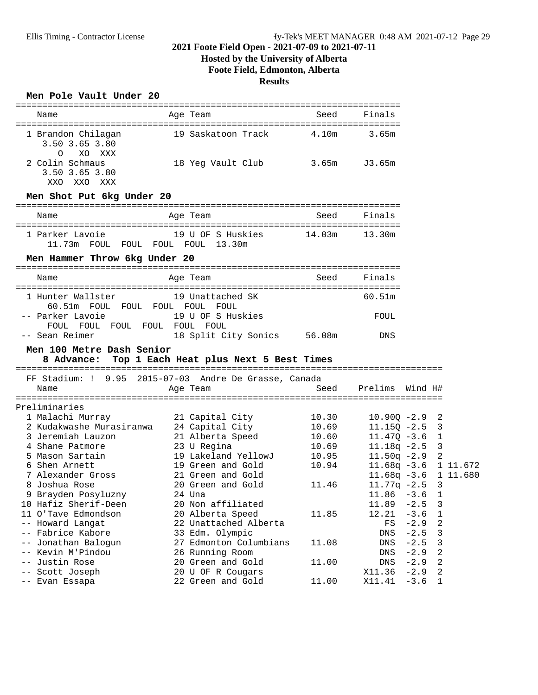# **Hosted by the University of Alberta**

**Foote Field, Edmonton, Alberta**

# **Results**

### **Men Pole Vault Under 20**

| Name                                                                  | Age Team                                              | Seed   | Finals               |                  |                |  |
|-----------------------------------------------------------------------|-------------------------------------------------------|--------|----------------------|------------------|----------------|--|
| 1 Brandon Chilagan<br>3.50 3.65 3.80                                  | 19 Saskatoon Track 4.10m                              |        | 3.65m                |                  |                |  |
| $\circ$<br>XO XXX<br>2 Colin Schmaus<br>3.50 3.65 3.80<br>XXO XXO XXX | 18 Yeg Vault Club 3.65m                               |        | J3.65m               |                  |                |  |
| Men Shot Put 6kg Under 20                                             |                                                       |        |                      |                  |                |  |
| Name                                                                  | Age Team                                              | Seed   | Finals               |                  |                |  |
| 1 Parker Lavoie<br>11.73m FOUL FOUL FOUL FOUL 13.30m                  | 19 U OF S Huskies                                     | 14.03m | 13.30m               |                  |                |  |
| Men Hammer Throw 6kg Under 20                                         |                                                       |        |                      |                  |                |  |
| Name                                                                  | Age Team                                              | Seed   | Finals               |                  |                |  |
| 1 Hunter Wallster                                                     | 19 Unattached SK                                      |        | 60.51m               |                  |                |  |
| 60.51m FOUL FOUL FOUL FOUL FOUL<br>-- Parker Lavoie                   | 19 U OF S Huskies                                     |        | FOUL                 |                  |                |  |
| FOUL FOUL FOUL FOUL FOUL FOUL                                         |                                                       |        | DNS                  |                  |                |  |
| -- Sean Reimer                                                        | 18 Split City Sonics 56.08m                           |        |                      |                  |                |  |
| Men 100 Metre Dash Senior                                             | 8 Advance: Top 1 Each Heat plus Next 5 Best Times     |        |                      |                  |                |  |
|                                                                       | FF Stadium: ! 9.95 2015-07-03 Andre De Grasse, Canada |        |                      |                  |                |  |
| Name                                                                  | Age Team                                              | Seed   | Prelims              | Wind H#          |                |  |
|                                                                       |                                                       |        |                      |                  |                |  |
| Preliminaries                                                         |                                                       |        |                      |                  |                |  |
| 1 Malachi Murray                                                      | 21 Capital City                                       | 10.30  | $10.900 - 2.9$ 2     |                  |                |  |
| 2 Kudakwashe Murasiranwa 24 Capital City                              |                                                       | 10.69  | $11.15Q - 2.5$ 3     |                  |                |  |
| 3 Jeremiah Lauzon                                                     | 21 Alberta Speed                                      | 10.60  | $11.47Q - 3.6$ 1     |                  |                |  |
| 4 Shane Patmore                                                       | 23 U Regina                                           | 10.69  | $11.18q - 2.5$ 3     |                  |                |  |
| 5 Mason Sartain                                                       | 19 Lakeland YellowJ                                   | 10.95  | $11.50q -2.9$ 2      |                  |                |  |
| 6 Shen Arnett                                                         | 19 Green and Gold                                     | 10.94  | 11.68q -3.6 1 11.672 |                  |                |  |
| 7 Alexander Gross                                                     | 21 Green and Gold                                     |        | 11.68q -3.6 1 11.680 |                  |                |  |
| 8 Joshua Rose                                                         | 20 Green and Gold                                     | 11.46  | $11.77q - 2.5$       |                  | $\overline{3}$ |  |
| 9 Brayden Posyluzny                                                   | 24 Una                                                |        | $11.86 - 3.6 1$      |                  |                |  |
| 10 Hafiz Sherif-Deen                                                  | 20 Non affiliated                                     |        | 11.89                | $-2.5$           | 3              |  |
| 11 O'Tave Edmondson                                                   | 20 Alberta Speed                                      | 11.85  | 12.21                | $-3.6$           | 1              |  |
| -- Howard Langat                                                      | 22 Unattached Alberta                                 |        | FS                   | $-2.9$           | 2              |  |
| -- Fabrice Kabore                                                     | 33 Edm. Olympic                                       |        | DNS                  | $-2.5$           | 3              |  |
| -- Jonathan Balogun                                                   | 27 Edmonton Columbians                                | 11.08  | DNS                  | $-2.5$           | 3              |  |
| -- Kevin M'Pindou                                                     | 26 Running Room                                       |        | DNS                  | $-2.9$           | 2              |  |
| Justin Rose<br>$ -$                                                   | 20 Green and Gold                                     | 11.00  | DNS                  | $-2.9$           | 2              |  |
| -- Scott Joseph<br>-- Evan Essapa                                     | 20 U OF R Cougars<br>22 Green and Gold                | 11.00  | X11.36<br>X11.41     | $-2.9$<br>$-3.6$ | 2<br>1         |  |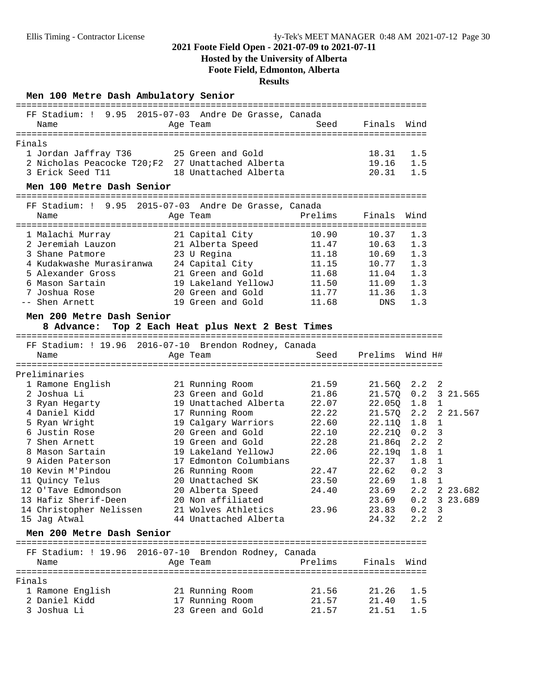# **Hosted by the University of Alberta**

**Foote Field, Edmonton, Alberta**

### **Results**

**Men 100 Metre Dash Ambulatory Senior**

| FF Stadium: ! 9.95 2015-07-03 Andre De Grasse, Canada<br>Name                                           | Age Team                                          | Seed    | Finals                  | Wind              |                              |
|---------------------------------------------------------------------------------------------------------|---------------------------------------------------|---------|-------------------------|-------------------|------------------------------|
|                                                                                                         |                                                   |         |                         |                   |                              |
| Finals<br>1 Jordan Jaffray T36<br>2 Nicholas Peacocke T20; F2 27 Unattached Alberta<br>3 Erick Seed T11 | 25 Green and Gold<br>18 Unattached Alberta        |         | 18.31<br>19.16<br>20.31 | 1.5<br>1.5<br>1.5 |                              |
| Men 100 Metre Dash Senior                                                                               |                                                   |         |                         |                   |                              |
|                                                                                                         |                                                   |         |                         |                   |                              |
| FF Stadium: ! 9.95 2015-07-03 Andre De Grasse, Canada                                                   |                                                   |         |                         |                   |                              |
| Name                                                                                                    | Age Team                                          | Prelims | Finals                  | Wind              |                              |
|                                                                                                         |                                                   |         |                         |                   |                              |
| 1 Malachi Murray                                                                                        | 21 Capital City                                   | 10.90   | 10.37                   | 1.3               |                              |
| 2 Jeremiah Lauzon                                                                                       | 21 Alberta Speed                                  | 11.47   | 10.63                   | 1.3               |                              |
|                                                                                                         |                                                   | 11.18   | 10.69                   | 1.3               |                              |
| 23 U Regina<br>4 Kudakwashe Murasiranwa 24 Capital City<br>5 Alexander Gross 21 Green and Cold          |                                                   | 11.15   | 10.77                   | 1.3               |                              |
|                                                                                                         |                                                   | 11.68   | 11.04                   | 1.3               |                              |
| 6 Mason Sartain                                                                                         | 19 Lakeland YellowJ                               | 11.50   | 11.09                   | 1.3               |                              |
| 7 Joshua Rose                                                                                           | 20 Green and Gold                                 | 11.77   | 11.36                   | 1.3               |                              |
| -- Shen Arnett                                                                                          | 19 Green and Gold                                 | 11.68   | DNS                     | 1.3               |                              |
| Men 200 Metre Dash Senior                                                                               |                                                   |         |                         |                   |                              |
|                                                                                                         | 8 Advance: Top 2 Each Heat plus Next 2 Best Times |         |                         |                   |                              |
|                                                                                                         |                                                   |         |                         |                   |                              |
| FF Stadium: ! 19.96 2016-07-10 Brendon Rodney, Canada                                                   |                                                   |         |                         |                   |                              |
| Name                                                                                                    | Age Team                                          | Seed    | Prelims                 | Wind H#           |                              |
|                                                                                                         |                                                   |         |                         |                   |                              |
| Preliminaries                                                                                           |                                                   |         |                         |                   |                              |
| 1 Ramone English                                                                                        | 21 Running Room                                   | 21.59   | 21.56Q                  | 2.2               | $\overline{\phantom{a}}^2$   |
| 2 Joshua Li                                                                                             | 23 Green and Gold                                 | 21.86   | 21.570                  | 0.2               | 3 21.565                     |
| 3 Ryan Hegarty                                                                                          | 19 Unattached Alberta                             | 22.07   | 22.05Q                  | 1.8               | $\mathbf{1}$                 |
| 4 Daniel Kidd                                                                                           | 17 Running Room                                   | 22.22   | 21.570                  | 2.2               | 2 21.567                     |
| 5 Ryan Wright                                                                                           | 19 Calgary Warriors                               | 22.60   | 22.11Q                  | 1.8               | $\mathbf{1}$                 |
| 6 Justin Rose                                                                                           | 20 Green and Gold                                 | 22.10   | 22.21Q                  | 0.2               | $\overline{3}$               |
| 7 Shen Arnett<br>8 Mason Sartain                                                                        | 19 Green and Gold<br>19 Lakeland YellowJ          | 22.28   | 21.86q                  | 2.2               | $\overline{a}$               |
| 9 Aiden Paterson                                                                                        | 17 Edmonton Columbians                            | 22.06   | 22.19q<br>22.37         | 1.8               | $\mathbf{1}$<br>$\mathbf{1}$ |
| 10 Kevin M'Pindou                                                                                       | 26 Running Room                                   | 22.47   | 22.62                   | 1.8<br>0.2        | 3                            |
| 11 Quincy Telus                                                                                         | 20 Unattached SK                                  | 23.50   | 22.69                   | 1.8               | $\mathbf 1$                  |
| 12 O'Tave Edmondson                                                                                     | 20 Alberta Speed                                  | 24.40   | 23.69                   | 2.2               | 2 23.682                     |
| 13 Hafiz Sherif-Deen                                                                                    | 20 Non affiliated                                 |         | 23.69                   | 0.2               | 3 23.689                     |
| 14 Christopher Nelissen                                                                                 | 21 Wolves Athletics                               | 23.96   | 23.83                   | 0.2               | 3                            |
| 15 Jag Atwal                                                                                            | 44 Unattached Alberta                             |         | 24.32                   | 2.2               | 2                            |
|                                                                                                         |                                                   |         |                         |                   |                              |
| Men 200 Metre Dash Senior                                                                               |                                                   |         |                         |                   |                              |
|                                                                                                         |                                                   |         |                         |                   |                              |
| FF Stadium: ! 19.96 2016-07-10 Brendon Rodney, Canada<br>Name                                           |                                                   | Prelims | Finals                  | Wind              |                              |
|                                                                                                         | Age Team                                          |         |                         |                   |                              |
| Finals                                                                                                  |                                                   |         |                         |                   |                              |
| 1 Ramone English                                                                                        | 21 Running Room                                   | 21.56   | 21.26                   | 1.5               |                              |
| 2 Daniel Kidd                                                                                           | 17 Running Room                                   | 21.57   | 21.40                   | 1.5               |                              |
| 3 Joshua Li                                                                                             | 23 Green and Gold                                 | 21.57   | 21.51                   | 1.5               |                              |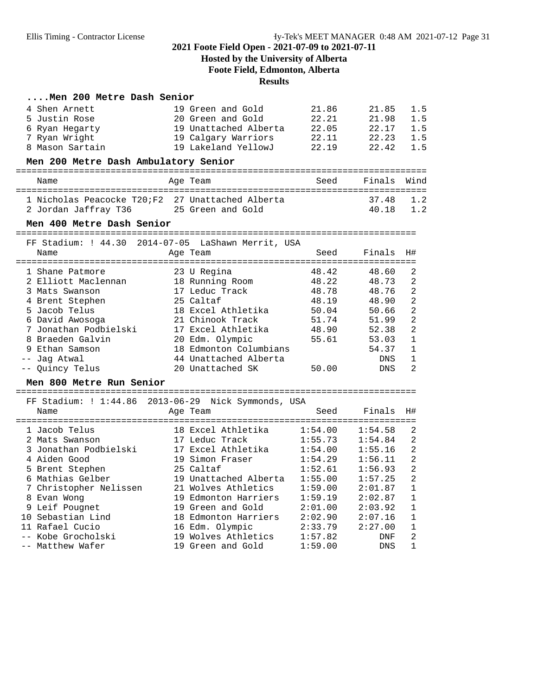# **Hosted by the University of Alberta Foote Field, Edmonton, Alberta**

# **Results**

# **....Men 200 Metre Dash Senior**

| 4 Shen Arnett                                       | 19 Green and Gold      | 21.86   | 21.85      | 1.5            |
|-----------------------------------------------------|------------------------|---------|------------|----------------|
| 5 Justin Rose                                       | 20 Green and Gold      | 22.21   | 21.98      | 1.5            |
| 6 Ryan Hegarty                                      | 19 Unattached Alberta  | 22.05   | 22.17      | 1.5            |
| 7 Ryan Wright                                       | 19 Calgary Warriors    | 22.11   | 22.23      | 1.5            |
| 8 Mason Sartain                                     | 19 Lakeland YellowJ    | 22.19   | 22.42      | 1.5            |
| Men 200 Metre Dash Ambulatory Senior                |                        |         |            |                |
| Name                                                | Age Team               | Seed    | Finals     | Wind           |
| 1 Nicholas Peacocke T20;F2 27 Unattached Alberta    |                        |         | 37.48      | 1.2            |
| 2 Jordan Jaffray T36                                | 25 Green and Gold      |         | 40.18      | 1.2            |
| Men 400 Metre Dash Senior                           |                        |         |            |                |
| FF Stadium: ! 44.30 2014-07-05 LaShawn Merrit, USA  |                        |         |            |                |
| Name                                                | Age Team               | Seed    | Finals     | H#             |
| 1 Shane Patmore                                     | 23 U Regina            | 48.42   | 48.60      | 2              |
| 2 Elliott Maclennan                                 | 18 Running Room        | 48.22   | 48.73      | 2              |
| 3 Mats Swanson                                      | 17 Leduc Track         | 48.78   | 48.76      | 2              |
| 4 Brent Stephen                                     | 25 Caltaf              | 48.19   | 48.90      | $\overline{2}$ |
| 5 Jacob Telus                                       | 18 Excel Athletika     | 50.04   | 50.66      | $\overline{2}$ |
| 6 David Awosoga                                     | 21 Chinook Track       | 51.74   | 51.99      | $\overline{2}$ |
| 7 Jonathan Podbielski                               | 17 Excel Athletika     | 48.90   | 52.38      | $\overline{2}$ |
| 8 Braeden Galvin                                    | 20 Edm. Olympic        | 55.61   | 53.03      | 1              |
| 9 Ethan Samson                                      | 18 Edmonton Columbians |         | 54.37      | 1              |
| -- Jaq Atwal                                        | 44 Unattached Alberta  |         | <b>DNS</b> | $\mathbf 1$    |
| -- Quincy Telus                                     | 20 Unattached SK       | 50.00   | DNS        | $\mathfrak{D}$ |
| Men 800 Metre Run Senior                            |                        |         |            |                |
| FF Stadium: ! 1:44.86 2013-06-29 Nick Symmonds, USA |                        |         |            |                |
| Name                                                | Age Team               | Seed    | Finals     | H#             |
| 1 Jacob Telus                                       | 18 Excel Athletika     | 1:54.00 | 1:54.58    | 2              |
| 2 Mats Swanson                                      | 17 Leduc Track         | 1:55.73 | 1:54.84    | 2              |
| 3 Jonathan Podbielski                               | 17 Excel Athletika     | 1:54.00 | 1:55.16    | 2              |
| 4 Aiden Good                                        | 19 Simon Fraser        | 1:54.29 | 1:56.11    | $\overline{2}$ |
| 5 Brent Stephen                                     | 25 Caltaf              | 1:52.61 | 1:56.93    | 2              |
| 6 Mathias Gelber                                    | 19 Unattached Alberta  | 1:55.00 | 1:57.25    | $\overline{2}$ |
| 7 Christopher Nelissen                              | 21 Wolves Athletics    | 1:59.00 | 2:01.87    | 1              |
| 8 Evan Wong                                         | 19 Edmonton Harriers   | 1:59.19 | 2:02.87    | $\mathbf 1$    |
| 9 Leif Pougnet                                      | 19 Green and Gold      | 2:01.00 | 2:03.92    | 1              |
| 10 Sebastian Lind                                   | 18 Edmonton Harriers   | 2:02.90 | 2:07.16    | $\mathbf 1$    |
| 11 Rafael Cucio                                     | 16 Edm. Olympic        | 2:33.79 | 2:27.00    | $\mathbf 1$    |
| -- Kobe Grocholski                                  | 19 Wolves Athletics    | 1:57.82 | <b>DNF</b> | 2              |
| -- Matthew Wafer                                    | 19 Green and Gold      | 1:59.00 | <b>DNS</b> | 1              |
|                                                     |                        |         |            |                |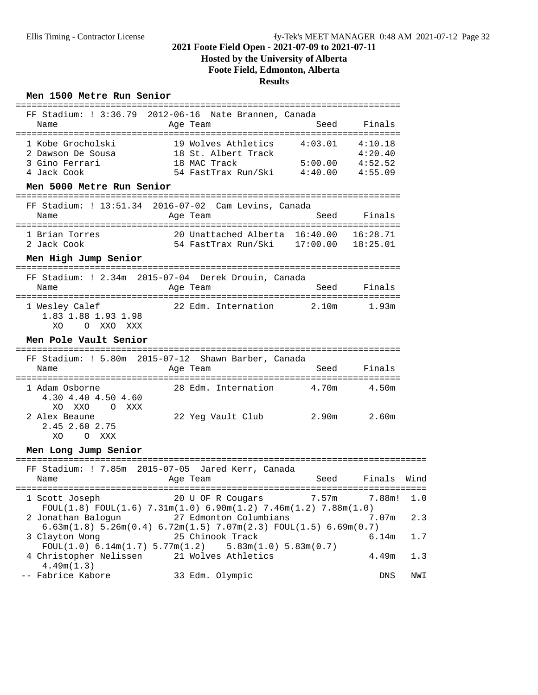# **Hosted by the University of Alberta Foote Field, Edmonton, Alberta**

### **Results**

### **Men 1500 Metre Run Senior**

| FF Stadium: ! 3:36.79 2012-06-16 Nate Brannen, Canada<br>Name                                        | Age Team                                                                                                                                                                                    | Seed               | Finals                                   |      |
|------------------------------------------------------------------------------------------------------|---------------------------------------------------------------------------------------------------------------------------------------------------------------------------------------------|--------------------|------------------------------------------|------|
| 1 Kobe Grocholski<br>2 Dawson De Sousa<br>3 Gino Ferrari<br>4 Jack Cook<br>Men 5000 Metre Run Senior | 19 Wolves Athletics<br>18 St. Albert Track<br>18 MAC Track<br>54 FastTrax Run/Ski 4:40.00                                                                                                   | 4:03.01<br>5:00.00 | 4:10.18<br>4:20.40<br>4:52.52<br>4:55.09 |      |
| FF Stadium: ! 13:51.34 2016-07-02 Cam Levins, Canada<br>Name                                         | Age Team                                                                                                                                                                                    | Seed               | Finals                                   |      |
| 1 Brian Torres<br>2 Jack Cook                                                                        | 20 Unattached Alberta 16:40.00<br>54 FastTrax Run/Ski 17:00.00 18:25.01                                                                                                                     |                    | 16:28.71                                 |      |
| Men High Jump Senior                                                                                 |                                                                                                                                                                                             |                    |                                          |      |
| FF Stadium: ! 2.34m 2015-07-04 Derek Drouin, Canada<br>Name                                          | Age Team                                                                                                                                                                                    | Seed               | Finals                                   |      |
| 1 Wesley Calef<br>1.83 1.88 1.93 1.98<br>XO<br>O XXO XXX                                             | 22 Edm. Internation                                                                                                                                                                         | 2.10m              | 1.93m                                    |      |
| Men Pole Vault Senior                                                                                |                                                                                                                                                                                             |                    |                                          |      |
| FF Stadium: ! 5.80m 2015-07-12 Shawn Barber, Canada<br>Name                                          | Age Team                                                                                                                                                                                    | Seed               | Finals                                   |      |
| 1 Adam Osborne<br>4.30 4.40 4.50 4.60<br>XXO<br>XO.<br>$\Omega$<br>XXX                               | 28 Edm. Internation                                                                                                                                                                         | 4.70m              | 4.50m                                    |      |
| 2 Alex Beaune<br>2.45 2.60 2.75<br>O XXX<br>XO                                                       | 22 Yeg Vault Club                                                                                                                                                                           | 2.90m              | 2.60m                                    |      |
| Men Long Jump Senior                                                                                 |                                                                                                                                                                                             |                    |                                          |      |
| FF Stadium: ! 7.85m 2015-07-05 Jared Kerr, Canada<br>Name                                            | Age Team                                                                                                                                                                                    | Seed               | Finals                                   | Wind |
| 1 Scott Joseph                                                                                       | 20 U OF R Cougars                                                                                                                                                                           | 7.57m              | 7.88m!                                   | 1.0  |
| 2 Jonathan Balogun                                                                                   | FOUL $(1.8)$ FOUL $(1.6)$ 7.31m $(1.0)$ 6.90m $(1.2)$ 7.46m $(1.2)$ 7.88m $(1.0)$<br>27 Edmonton Columbians<br>$6.63m(1.8)$ $5.26m(0.4)$ $6.72m(1.5)$ $7.07m(2.3)$ $FOUT(1.5)$ $6.69m(0.7)$ |                    | 7.07m                                    | 2.3  |
| 3 Clayton Wong                                                                                       | 25 Chinook Track                                                                                                                                                                            |                    | 6.14m                                    | 1.7  |
| FOUL(1.0) 6.14m(1.7) 5.77m(1.2)<br>4 Christopher Nelissen<br>4.49m(1.3)                              | 5.83m(1.0) 5.83m(0.7)<br>21 Wolves Athletics                                                                                                                                                |                    | 4.49m                                    | 1.3  |
| -- Fabrice Kabore                                                                                    | 33 Edm. Olympic                                                                                                                                                                             |                    | <b>DNS</b>                               | NWI  |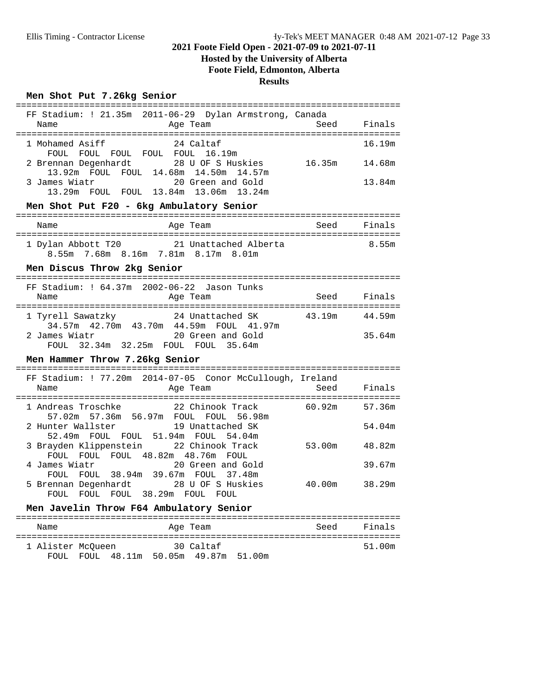# **Hosted by the University of Alberta Foote Field, Edmonton, Alberta**

### **Results**

### **Men Shot Put 7.26kg Senior**

| FF Stadium: ! 21.35m 2011-06-29 Dylan Armstrong, Canada                                  |        |             |  |  |  |
|------------------------------------------------------------------------------------------|--------|-------------|--|--|--|
| Name<br>Age Team                                                                         | Seed   | Finals      |  |  |  |
| 1 Mohamed Asiff<br>24 Caltaf                                                             |        | 16.19m      |  |  |  |
| FOUL FOUL FOUL FOUL FOUL 16.19m                                                          |        |             |  |  |  |
| 2 Brennan Degenhardt<br>28 U OF S Huskies                                                | 16.35m | 14.68m      |  |  |  |
| 13.92m FOUL FOUL 14.68m 14.50m 14.57m                                                    |        |             |  |  |  |
| 3 James Wiatr<br>20 Green and Gold<br>13.29m FOUL FOUL 13.84m 13.06m 13.24m              |        | 13.84m      |  |  |  |
| Men Shot Put F20 - 6kg Ambulatory Senior                                                 |        |             |  |  |  |
| Age Team<br>Name                                                                         |        | Seed Finals |  |  |  |
|                                                                                          |        |             |  |  |  |
| 1 Dylan Abbott T20 21 Unattached Alberta                                                 |        | 8.55m       |  |  |  |
| 8.55m 7.68m 8.16m 7.81m 8.17m 8.01m                                                      |        |             |  |  |  |
| Men Discus Throw 2kg Senior                                                              |        |             |  |  |  |
|                                                                                          |        |             |  |  |  |
| FF Stadium: ! 64.37m 2002-06-22 Jason Tunks<br>Age Team<br>Name                          | Seed   | Finals      |  |  |  |
|                                                                                          |        |             |  |  |  |
| 1 Tyrell Sawatzky 24 Unattached SK                                                       | 43.19m | 44.59m      |  |  |  |
| 34.57m  42.70m  43.70m  44.59m  FOUL  41.97m                                             |        |             |  |  |  |
| 2 James Wiatr<br>20 Green and Gold<br>FOUL 32.34m 32.25m FOUL FOUL 35.64m                |        | 35.64m      |  |  |  |
|                                                                                          |        |             |  |  |  |
| Men Hammer Throw 7.26kg Senior                                                           |        |             |  |  |  |
| FF Stadium: ! 77.20m 2014-07-05 Conor McCullough, Ireland                                |        |             |  |  |  |
| Name<br>Age Team                                                                         | Seed   | Finals      |  |  |  |
|                                                                                          |        |             |  |  |  |
| 1 Andreas Troschke             22 Chinook Track<br>57.02m 57.36m 56.97m FOUL FOUL 56.98m | 60.92m | 57.36m      |  |  |  |
| 19 Unattached SK<br>2 Hunter Wallster                                                    |        | 54.04m      |  |  |  |
| 52.49m FOUL FOUL 51.94m FOUL 54.04m                                                      |        |             |  |  |  |
| 3 Brayden Klippenstein 22 Chinook Track                                                  | 53.00m | 48.82m      |  |  |  |
| FOUL FOUL FOUL 48.82m 48.76m FOUL                                                        |        |             |  |  |  |
| 20 Green and Gold<br>4 James Wiatr<br>FOUL FOUL 38.94m 39.67m FOUL 37.48m                |        | 39.67m      |  |  |  |
| 28 U OF S Huskies<br>5 Brennan Degenhardt                                                | 40.00m | 38.29m      |  |  |  |
| FOUL FOUL FOUL 38.29m FOUL FOUL                                                          |        |             |  |  |  |
| Men Javelin Throw F64 Ambulatory Senior                                                  |        |             |  |  |  |
| Age Team<br>Name                                                                         | Seed   | Finals      |  |  |  |
|                                                                                          |        |             |  |  |  |

| 1 Alister McOueen |  | 30 Caltaf                             | 51.00m |
|-------------------|--|---------------------------------------|--------|
|                   |  | FOUL FOUL 48.11m 50.05m 49.87m 51.00m |        |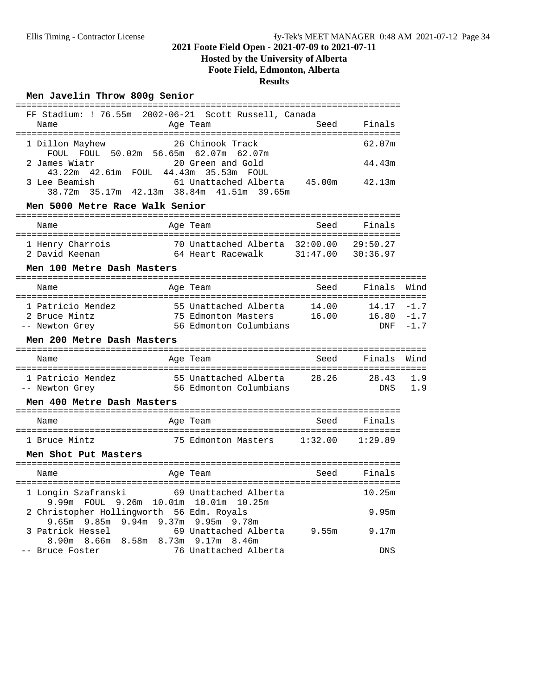# **Hosted by the University of Alberta**

**Foote Field, Edmonton, Alberta**

# **Results**

### **Men Javelin Throw 800g Senior**

| FF Stadium: ! 76.55m 2002-06-21 Scott Russell, Canada                            |                                                                              |       |                                   |                            |  |  |  |  |
|----------------------------------------------------------------------------------|------------------------------------------------------------------------------|-------|-----------------------------------|----------------------------|--|--|--|--|
| Name                                                                             | Age Team                                                                     | Seed  | Finals                            |                            |  |  |  |  |
| 1 Dillon Mayhew<br>FOUL FOUL 50.02m 56.65m 62.07m 62.07m                         | 26 Chinook Track                                                             |       | 62.07m                            |                            |  |  |  |  |
| 2 James Wiatr<br>43.22m  42.61m  FOUL  44.43m  35.53m  FOUL<br>3 Lee Beamish     | 20 Green and Gold<br>61 Unattached Alberta 45.00m                            |       | 44.43m<br>42.13m                  |                            |  |  |  |  |
| 38.72m 35.17m 42.13m 38.84m 41.51m 39.65m                                        |                                                                              |       |                                   |                            |  |  |  |  |
| Men 5000 Metre Race Walk Senior                                                  |                                                                              |       |                                   |                            |  |  |  |  |
| Name                                                                             | Age Team                                                                     | Seed  | Finals                            |                            |  |  |  |  |
| 1 Henry Charrois<br>2 David Keenan                                               | 70 Unattached Alberta 32:00.00<br>64 Heart Racewalk                          |       | 29:50.27<br>$31:47.00$ $30:36.97$ |                            |  |  |  |  |
| Men 100 Metre Dash Masters                                                       |                                                                              |       |                                   |                            |  |  |  |  |
| Name                                                                             | Age Team                                                                     | Seed  | Finals                            | Wind                       |  |  |  |  |
| 1 Patricio Mendez<br>2 Bruce Mintz<br>-- Newton Grey                             | 55 Unattached Alberta 14.00<br>75 Edmonton Masters<br>56 Edmonton Columbians | 16.00 | 14.17<br>16.80<br><b>DNF</b>      | $-1.7$<br>$-1.7$<br>$-1.7$ |  |  |  |  |
| Men 200 Metre Dash Masters                                                       |                                                                              |       |                                   |                            |  |  |  |  |
| Name                                                                             | Age Team                                                                     | Seed  | Finals                            | Wind                       |  |  |  |  |
| 1 Patricio Mendez<br>-- Newton Grey                                              | 55 Unattached Alberta<br>56 Edmonton Columbians                              |       | 28.26 28.43<br>DNS                | 1.9<br>1.9                 |  |  |  |  |
| Men 400 Metre Dash Masters                                                       |                                                                              |       |                                   |                            |  |  |  |  |
| Name                                                                             | Age Team                                                                     | Seed  | Finals                            |                            |  |  |  |  |
| 1 Bruce Mintz                                                                    | 75 Edmonton Masters 1:32.00 1:29.89                                          |       |                                   |                            |  |  |  |  |
| Men Shot Put Masters                                                             |                                                                              |       |                                   |                            |  |  |  |  |
| Name                                                                             | Age Team                                                                     | Seed  | Finals                            |                            |  |  |  |  |
| 1 Longin Szafranski<br>9.99m FOUL 9.26m 10.01m 10.01m 10.25m                     | 69 Unattached Alberta                                                        |       | 10.25m                            |                            |  |  |  |  |
| 2 Christopher Hollingworth 56 Edm. Royals<br>9.65m 9.85m 9.94m 9.37m 9.95m 9.78m |                                                                              |       | 9.95m                             |                            |  |  |  |  |
| 3 Patrick Hessel<br>8.66m 8.58m 8.73m 9.17m 8.46m<br>8.90m                       | 69 Unattached Alberta 9.55m                                                  |       | 9.17m                             |                            |  |  |  |  |
| -- Bruce Foster                                                                  | 76 Unattached Alberta                                                        |       | <b>DNS</b>                        |                            |  |  |  |  |